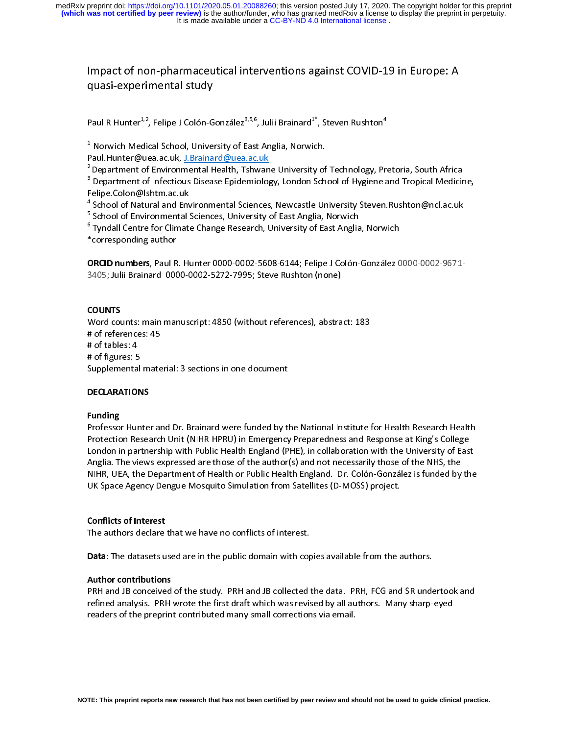Impact of non-pharmaceutical interventions against COVID-19 in Europe: A quasi-experimental study

|<br>|<br>|<br>|<br>|<br>|<br>| |<br>|<br>|<br>|<br>|<br>|<br>|<br>| Paul R Hunter<sup>4,2</sup>, Felipe J Colón-González<sup>9,3,6</sup>, Julii Brainard<sup>4</sup>, Steven Rushton<sup>4</sup><br><sup>1</sup> Norwich Medical School, University of East Anglia, Norwich.<br>Paul.Hunter@uea.ac.uk, <u>J.Brainard@uea.ac.uk</u><br><sup>2</sup> Department of Envir e<br>a 1 || 2 3<br>|-<br>| 4 5 <sup>4</sup> Norwich Medical School, University of East Anglia, Norwich.<br>Paul.Hunter@uea.ac.uk, <u>J.Brainard@uea.ac.uk</u><br><sup>2</sup> Department of Environmental Health, Tshwane University of<br><sup>3</sup> Department of Infectious Disease Epidemiology, <sup>-</sup> Department of Environmental Health, Tshwane University of Technology, Pretoria, South Africa<br><sup>3</sup> Department of Infectious Disease Epidemiology, London School of Hygiene and Tropical Medicir<br>Felipe.Colon@lshtm.ac.uk<br><sup>4</sup> Ĭ

<sup>5</sup> School of Environmental Sciences, University of East Anglia, Norwich

Elipe.Colon@Ishtm.ac.uk<br>School of Natural and Environmental Sciences, Newcastle University Steven.Rushton@ncl.ac.uk<br>School of Environmental Sciences, University of East Anglia, Norwich<br>Tyndall Centre for Climate Change Res <sup>4</sup> School of Natural and Env<br>
<sup>5</sup> School of Environmental 5<br>
<sup>6</sup> Tyndall Centre for Climate<br>
\*corresponding author<br> **ORCID numbers**, Paul R. Hi

School of Environmental Sciences, University of East Anglia, Norwich<br>Tyndall Centre for Climate Change Research, University of East Anglia, Norwich<br>Corresponding author<br>DRCID numbers, Paul R. Hunter 0000-0002-5608-6144; Fe <sup>6</sup> Tyndall Centre for Climate Change Research, University of East Anglia<br>\*corresponding author<br>**ORCID numbers**, Paul R. Hunter 0000-0002-5608-6144; Felipe J Colón-<br>3405; Julii Brainard 0000-0002-5272-7995; Steve Rushton ( The forresponding author<br>The Corresponding author<br>The Figure of Canadia Change Change Research, Colon-González C<br>The Research, Steve Rushton (none)<br>The Collary \*corresponding author<br>ORCID numbers, Paul R. Hunter 0000-0002-5608-6144; Felipe J Co<br>3405; Julii Brainard 0000-0002-5272-7995; Steve Rushton (none)<br>COUNTS )<br>ا<br>ا

ORCID Numbers, Paul R. Hunter 0000-0002-5008-0144, Felipe J Colon-González 0000-0002-5071<br>3405; Julii Brainard 0000-0002-5272-7995; Steve Rushton (none)<br>COUNTS<br>Word counts: main manuscript: 4850 (without references), abstr 3405)<br>3405; COUNTS<br>3405; Word counts: main manuscript: 4850 (without references), abstra<br>3405; Steve Rushton (none)<br># of figures: F ( \<br>| +<br>| + ハーキ おくこ COUNTS Word contribution in the stript: 4850 (without references: 45<br># of tables: 4<br># of figures: 5<br>Supplemental material: 3 sections in one document<br>DECLARATIONS # of tables: 4<br># of tables: 4<br># of figures: 5<br>Supplemental mate<br>DECLARATIONS # of figures: 5

## DECLARATIONS

## **Funding**

**Exaggediate**<br>Supplemental<br>DECLARATION<br>Funding<br>Professor Hum Protection Research Unit (NIHR HPRU) in Emergency Preparedness and Response at King's College<br>London in partnership with Public Health England (PHE), in collaboration with the University of East |<br>|<br>|<br>|} Professor Hunter and Dr. Brainard were funded by the National Institute for Health Research Health Protection Research Unit (NIHR HPRU) in Emergency Preparedness and Response at King's College<br>London in partnership with Public Health England (PHE), in collaboration with the University of East<br>Anglia. The views expressed London in partnership with Public Health England (PHE), in collaboration with the University of Eas<br>Anglia. The views expressed are those of the author(s) and not necessarily those of the NHS, the<br>NIHR, UEA, the Department Anglia. The views expressed are those of the author(s) and not necessarily those of the NHS, the<br>NIHR, UEA, the Department of Health or Public Health England. Dr. Colón-González is funded by the<br>UK Space Agency Dengue Mosq NIHR, UEA, the Department of Health or Public Health England. Dr. Colón-González is funded by<br>UK Space Agency Dengue Mosquito Simulation from Satellites (D-MOSS) project.<br>Conflicts of Interest<br>The authors declare that we h UK Space Agency Dengue Mosquito Simulation from Satellites (D-MOSS) project.<br> **Conflicts of Interest**<br>
The authors declare that we have no conflicts of interest.<br> **Data:** The detects used are in the public demain with engi UK Space Agency Dengue Mosquito Simulation from Satellites (D-MOSS) project.<br> **Conflicts of Interest**<br>
The authors declare that we have no conflicts of interest.<br> **Data**: The datasets used are in the public domain with cop

# $\frac{1}{2}$  $\frac{1}{1}$

The authors declare that we have no conflicts of interest.

Data: The datasets used are in the public domain with cop<br>Author contributions<br>PRH and JB conceived of the study. PRH and JB collected interfined analysis. PRH wrote the first draft which was revision |<br>|<br>|<br>|<br>| **Author contributions**<br>PRH and JB conceived of the study. PRH and JB collected the data. PRH, FCG and SR under<br>refined analysis. PRH wrote the first draft which was revised by all authors. Many sharp-<br>readers of the prepri ,<br>| |<br>| | Author contributions refined analysis. PRH wrote the first draft which was revised by all authors. Many sharp-eyed<br>readers of the preprint contributed many small corrections via email. refined analysis. Print in the first draft which was revisible, you all authors. Many sharp-eyes readers of the preprint contributed many small corrections via email. readers of the preprint contributed many small corrections via email.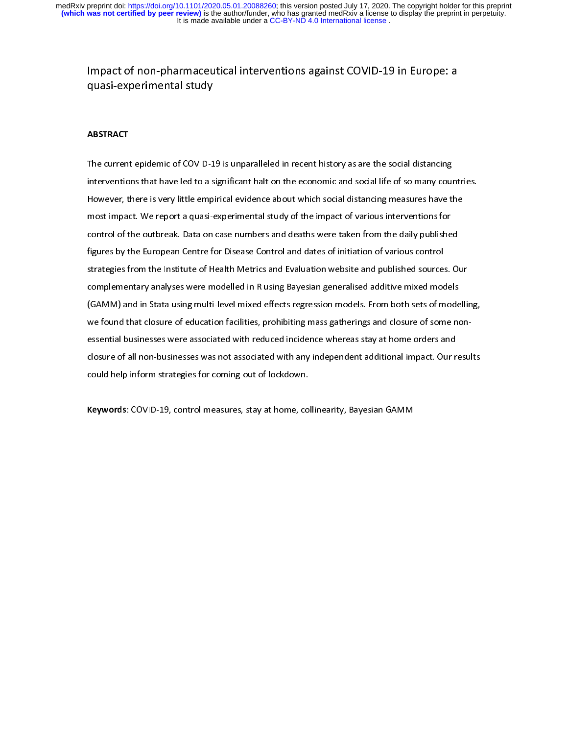## Impact of non-pharmaceutical interventions against COVID-19 in Europe: a quasi-experimental study

## $\overline{a}$ ABSTRACT

 $\begin{array}{c} \mathbf{1} \\ \mathbf{1} \\ \mathbf{1} \end{array}$ Interventions that have led to a significant halt on the economic and social life of so many cour<br>However, there is very little empirical evidence about which social distancing measures have the<br>most impact. We report a qu intervention that have leagued to a significant halt on the economic and social distancing measures have the<br>most impact. We report a quasi-experimental study of the impact of various interventions for<br>control of the outbr most impact. We report a quasi-experimental study of the impact of various interventions for<br>control of the outbreak. Data on case numbers and deaths were taken from the daily published<br>figures by the European Centre for D most impact. We report a quasi-imperimental study of the impact of the in the intervention of<br>control of the outbreak. Data on case numbers and deaths were taken from the daily publishe<br>figures by the European Centre for D figures by the European Centre for Disease Control and dates of initiation of various control<br>strategies from the Institute of Health Metrics and Evaluation website and published sources. Our<br>complementary analyses were mo figures by the European Centre for Disease Control and Byduation website and published source:<br>strategies from the Institute of Health Metrics and Evaluation website and published source:<br>complementary analyses were modell complementary analyses were modelled in R using Bayesian generalised additive mixed models<br>(GAMM) and in Stata using multi-level mixed effects regression models. From both sets of modelli<br>we found that closure of education complementary analyses in the intertion analysis) sum generalised in analysis of mode<br>(GAMM) and in Stata using multi-level mixed effects regression models. From both sets of mode<br>we found that closure of education facilit (GAM) we found that closure of education facilities, prohibiting mass gatherings and closure of some non-<br>essential businesses were associated with reduced incidence whereas stay at home orders and<br>closure of all non-busin essential businesses were associated with reduced incidence whereas stay at home orders and<br>closure of all non-businesses was not associated with any independent additional impact. Our results<br>could help inform strategies could help inform strategies for coming out of lockdown.<br>Keywords: COVID-19, control measures, stay at home, collinearity, Bayesian GAMM

Keywords: COVID-19, control measures, stay at home, collinearity, Bayesian GAMM  $\frac{1}{2}$ Keywords: COVID-19, control measures, stay at home, collinearity, Bayesian GAMM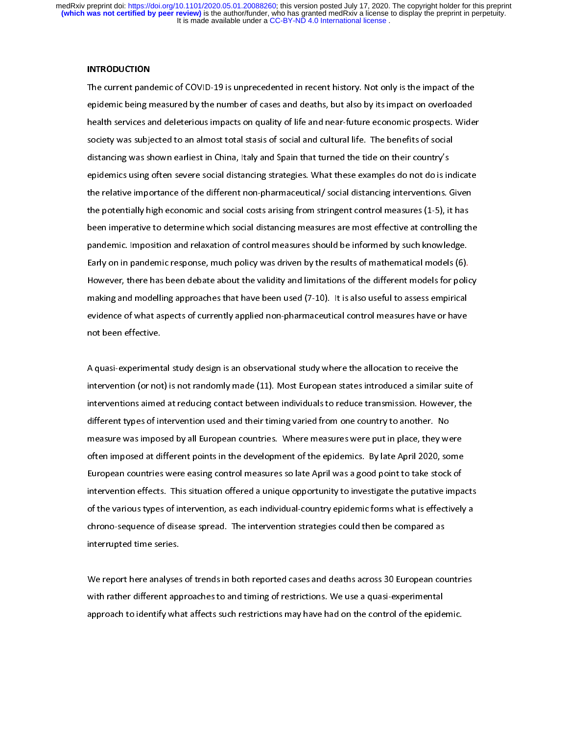#### **INTRODUCTION**

epidemic being measured by the number of cases and deaths, but also by its impact on overloaded<br>health services and deleterious impacts on quality of life and near-future economic prospects. Wider<br>society was subjected to epidemic being measure but, and such a trace and death services and deleterious impacts on quality of life and near-future economic prospects. Wide<br>society was subjected to an almost total stasis of social and cultural lif health services and deletering impacts on quality of life and deleteral terms of society was subjected to an almost total stasis of social and cultural life. The benefits of social<br>distancing was shown earliest in China, I stancing was shown earliest in China, Italy and Spain that turned the tide on their country's<br>epidemics using often severe social distancing strategies. What these examples do not do is inc<br>the relative importance of the d epidemics using often severe social distancing strategies. What these examples do not do is in<br>the relative importance of the different non-pharmaceutical/ social distancing interventions. (<br>the potentially high economic a epidemics using the relative importance of the different non-pharmaceutical/ social distancing interventions. Given<br>the potentially high economic and social costs arising from stringent control measures (1-5), it has<br>been the potentially high economic and social costs arising from stringent control measures (1-5), it has<br>been imperative to determine which social distancing measures are most effective at controlling the<br>pandemic. Imposition the potential imperative to determine which social distancing measures are most effective at controlling the pandemic. Imposition and relaxation of control measures should be informed by such knowledge.<br>Early on in pandemi pandemic. Imposition and relaxation of control measures should be informed by such knowledge.<br>Early on in pandemic response, much policy was driven by the results of mathematical models (6).<br>However, there has been debate parly on in pandemic response, much policy was driven by the results of mathematical models (6).<br>However, there has been debate about the validity and limitations of the different models for polition and modelling approach However, there has been debate about the validity and limitations of the different models for polic<br>making and modelling approaches that have been used (7-10). It is also useful to assess empirical<br>evidence of what aspects making and modelling approaches that have been used (7-10). It is also useful to assess empirical<br>evidence of what aspects of currently applied non-pharmaceutical control measures have or have<br>not been effective. making and modelling approaches that have been used (1-10). It is also useful to assess have or have<br>evidence of what aspects of currently applied non-pharmaceutical control measures have or have<br>not been effective.<br>A quas

evidence of the video of the same of the same of the same of the aspects of the discreption.<br>A quasi-experimental study design is an observational study where the allocation to receive the<br>intervention (or not) is not rand not be<br>A quasi-experiment<br>intervention (or not<br>interventions aimed  $\frac{1}{i}$ Intervention (or not) is not randomly made (11). Most European states introduced a similar suite<br>interventions aimed at reducing contact between individuals to reduce transmission. However, t<br>different types of interventio interventions aimed at reducing contact between individuals to reduce transmission. However, the<br>different types of intervention used and their timing varied from one country to another. No<br>measure was imposed by all Europ different types of intervention used and their timing varied from one country to another. No<br>measure was imposed by all European countries. Where measures were put in place, they were<br>often imposed at different points in t different types of the reasure was imposed by all European countries. Where measures were put in place, they we<br>often imposed at different points in the development of the epidemics. By late April 2020, so<br>European countri measure was imposed at different points in the development of the epidemics. By late April 2020, some<br>European countries were easing control measures so late April was a good point to take stock of<br>intervention effects. Th European countries were easing control measures so late April was a good point to take stock of<br>intervention effects. This situation offered a unique opportunity to investigate the putative impa<br>of the various types of int European countries were easing control measures of the eigens point of the various types of intervention, as each individual-country epidemic forms what is effectively<br>chrono-sequence of disease spread. The intervention st of the various types of intervention, as each individual-country epidemic forms what is effectively a<br>chrono-sequence of disease spread. The intervention strategies could then be compared as<br>interrupted time series. chrono-sequence of disease spread. The intervention strategies could then be compared as<br>interrupted time series.<br>We report here analyses of trends in both reported cases and deaths across 30 European countries

interrupted time series.<br>We report here analyses of trends in both reported cases and deaths across 30 European cou<br>with rather different approaches to and timing of restrictions. We use a quasi-experimental interrupted interests<br>We report here analyses<br>with rather different app<br>approach to identify whi りしこう こうしょう こうしょう こうしゃ こうしゃく しゅうしゃ しんこう しんしゅう しゅうしょう しゅうしゃ With rather different approaches to and timing of restrictions. We use a quasi-experimental<br>approach to identify what affects such restrictions may have had on the control of the epidemic. approach to identify what affects such restrictions may have had on the control of the epidemic. approach to identify what affects such restrictions  $m$   $\mu$  and  $\mu$  and  $\mu$ .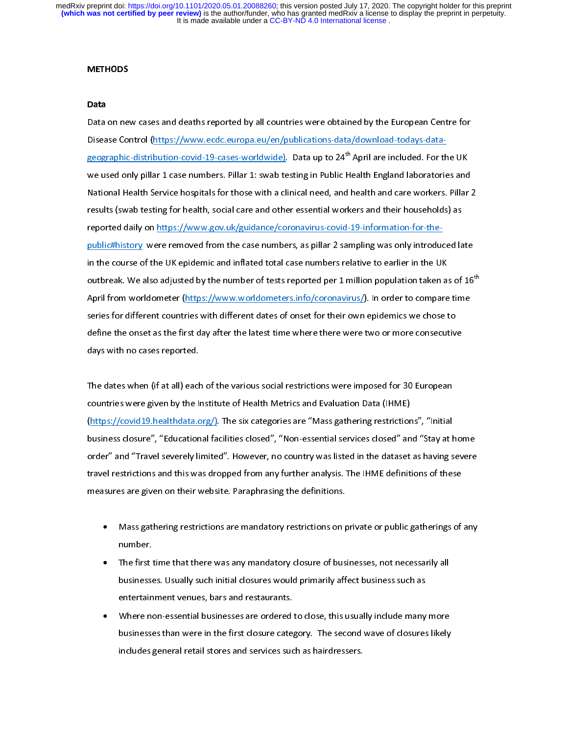#### **METHODS**

Data<br>Data on new cases and deaths reported by all countries were obtained by the European Centre for<br>Disease Control (https://www.ecdc.europa.eu/en/publications-data/download-todays-data-<br>geographic-distribution-covid-19-c Disease Control (https://www.ecdc.europa.eu/en/publications-data/download-todays-data-<br>geographic-distribution-covid-19-cases-worldwide)</u>. Data up to 24<sup>th</sup> April are included. For the UK<br>we used only pillar 1 case numbers results (swab testing for health, social care and other essential workers and their households) as geographic-distribution-covid-19-cases-worldwide)</u>. Data up to 24<sup>aa</sup> April are included. For the UK<br>we used only pillar 1 case numbers. Pillar 1: swab testing in Public Health England laboratories and<br>National Health Serv Wational Health Service hospitals for those with a clinical need, and health and care workers. Pillar 2<br>results (swab testing for health, social care and other essential workers and their households) as<br>reported daily on <u></u> results (swab testing for health, social care and other essential workers and their households) as<br>reported daily on <u>https://www.gov.uk/guidance/coronavirus-covid-19-information-for-the-<br>public#history</u> were removed from reported daily on <u>https://www.gov.uk/guidance/coronavirus-covid-19-information-for-the-</u><br>
<u>public#history</u> were removed from the case numbers, as pillar 2 sampling was only introduced late<br>
in the course of the UK epidemi reported world direct the ps://www.world direct starter coronavirus<sub>[1]</sub>. In order to compare in the course of the UK epidemic and inflated total case numbers relative to earlier in the UK<br>outbreak. We also adjusted by the number of tests reported per 1 million population taken as of 16<sup>1</sup><br>April from worldometer (h outbreak. We also adjusted by the number of tests reported per 1 million population taken a<br>April from worldometer (https://www.worldometers.info/coronavirus/). In order to compare<br>series for different countries with diffe outbreak. We also adjusted by the number of tests reported per 1 million population taken as of 16"<br>April from worldometer (https://www.worldometers.info/coronavirus/). In order to compare time<br>series for different countri series for different countries with different dates of onset for their own epidemics we chose to<br>define the onset as the first day after the latest time where there were two or more consecutiv<br>days with no cases reported. define the onset as the first day after the latest time where there were two or more consecutive

The dates when (if at all) each of the various social restrictions were imposed for 30 European countries were given by the Institute of Health Metrics and Evaluation Data (IHME)<br>(https://covid19.healthdata.org/). The six categories are "Mass gathering restrictions", "Initial ד<br>(<br>} Countries were given by the Institute of Health Metrics and Evaluation Data (IHME)<br>(https://covid19.healthdata.org/). The six categories are "Mass gathering restrictions", "Initial<br>business closure", "Educational facilitie commer were given by the Institute of Health Metrics and Evaluation Data (IMME)<br>(https://covid19.healthdata.org/). The six categories are "Mass gathering restriction<br>business closure", "Educational facilities closed", "Non (matrim) business closure", "Educational facilities closed", "Non-essential services closed" and "Stay at horder" and "Travel severely limited". However, no country was listed in the dataset as having stravel restrictions order" and "Travel severely limited". However, no country was listed in the dataset as having severe<br>travel restrictions and this was dropped from any further analysis. The IHME definitions of these<br>measures are given on t travel restrictions and this was dropped from any further analysis. The IHME definitions of these<br>measures are given on their website. Paraphrasing the definitions.<br>• Mass gathering restrictions are mandatory restrictions

- travel restrictions and the this was dropped from any further analysis. The IHME definitions is measures are given on their website. Paraphrasing the definitions of  $\blacksquare$ <br>• Mass gathering restrictions are mandatory restri measure of the Mass gathering restrictions are mandatory restrictions on power.<br>
• The first time that there was any mandatory closure of bus •
	- Mass games are matched in the restrictions are mandatory of an interest in private first time that there was any mandatory closure of businesses, not necessarily all businesses. Usually such initial closures would primaril The first time that there was any mandatory closure of businesses, not necessarily all<br>businesses. Usually such initial closures would primarily affect business such as<br>entertainment venues, bars and restaurants.<br>Where non  $\bullet$ The first time sees. Usually such initial closures would primarily affect business such as<br>The first time that there are was any mandatory closes.<br>There non-essential businesses are ordered to close, this usually include m
	- businesses. Usually such initial closures would principly incorporate businesses entertainment venues, bars and restaurants.<br>Where non-essential businesses are ordered to close, this usually include many<br>businesses than we Where non-essential businesses are ordered<br>businesses than were in the first closure cate;<br>includes general retail stores and services suc • businesses than were in the first closure category. The second wave of closures likely<br>includes general retail stores and services such as hairdressers.<br>  $\begin{pmatrix} 0 & 0 \end{pmatrix}$  includes general retail stores and services such as hairdressers. includes general retail stores and services such as hairdressers.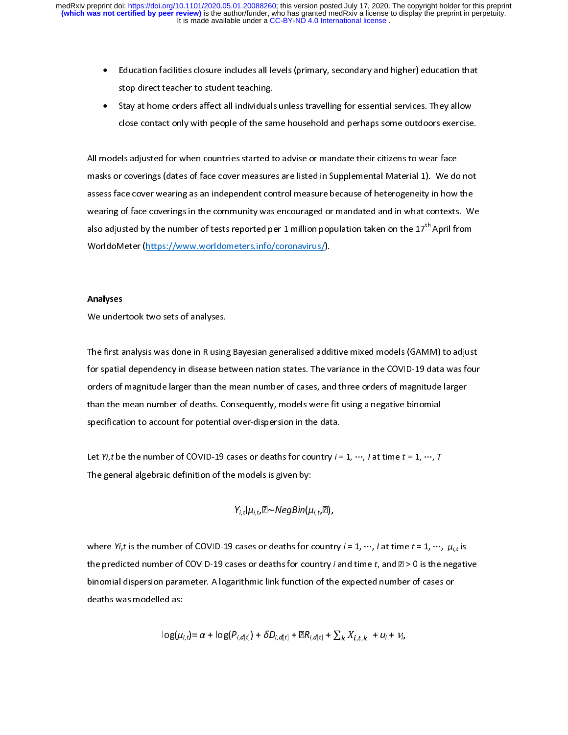- •
- Education factor factors at the student teaching.<br>
Education factors all individuals unless travelling for essential services. They allow<br>
Close contact only with people of the same household and perhaps some outdoors exer Stay at home orders affect all individuals<br>close contact only with people of the sar<br>els adjusted for when countries started t •

Stay at home orders affect annual state and start any process close contact only with people of the same household and perhaps some outdoors exercise<br>els adjusted for when countries started to advise or mandate their citiz close contact only miniperpressive contact only strategies and perhaps some cannot increase<br>els adjusted for when countries started to advise or mandate their citizens to wear face<br>r coverings (dates of face cover measures げい masks or coverings (dates of face cover measures are listed in Supplemental Material 1). We do<br>assess face cover wearing as an independent control measure because of heterogeneity in how<br>wearing of face coverings in the co masks face cover wearing as an independent control measure because of heterogeneity in how the<br>wearing of face coverings in the community was encouraged or mandated and in what contexts. We<br>also adjusted by the number of t wearing of face coverings in the community was encouraged or mandated and in what contexts. W<br>also adjusted by the number of tests reported per 1 million population taken on the 17<sup>th</sup> April from<br>WorldoMeter (https://www.w also adjusted by the number of tests reported per 1 million population taken on the 17<sup>th</sup> April from<br>WorldoMeter (https://www.worldometers.info/coronavirus/). also adjusted by the number of tests reported per 1 million population taken on the 17"' April from<br>WorldoMeter (https://www.worldometers.info/coronavirus/).<br><mark>Analyses</mark>

### Analyses

worldometer (https://www.worldometers.info/coronavirus/).<br>Analyses<br>We undertook two sets of analyses.  $\frac{1}{\sqrt{2}}$ 

 We undertook two sets of analyses.<br>The first analysis was done in R using Bayesian generalised additive mixed models (GAMM) to adjust<br>for spatial dependency in disease between nation states. The variance in the COVID-19 da ד<br>f<br>t The first analysis was denoted analysis y strangent and all the first and the COVID-19 data was four<br>for spatial dependency in disease between nation states. The variance in the COVID-19 data was four<br>orders of magnitude l for spatial dependency in distance between nation states with change in the variance in the variance orders of magnitude larger<br>than the mean number of deaths. Consequently, models were fit using a negative binomial<br>specif than the mean number of deaths. Consequently, models were fit using a negative binomial<br>specification to account for potential over-dispersion in the data.<br>Let *Yi,t* be the number of COVID-19 cases or deaths for country

specification to account for potential over-dispersion in the data.<br>Let *Yi,t* be the number of COVID-19 cases or deaths for country  $i = 1, \dots, l$  at time  $t = 1, \dots, T$ <br>The general algebraic definition of the models is given Let *Yi,t* be the number of COVID-19 cases or deaths for country *i* =<br>The general algebraic definition of the models is given by:  $\frac{1}{\sqrt{2}}$ The general algebraic definition of the models is given by:<br>The general algebraic definition of the models is given by:<br> $Y_{i,t}|\mu_{i,t} \otimes \sim NegBin(\mu_{i,t}, \boxtimes)$ ,

$$
Y_{i,t}|\mu_{i,t},\mathbb{Z}\sim NegBin(\mu_{i,t},\mathbb{Z}),
$$

The general algebraic definition of the models is given by:<br> $Y_{i,t}|\mu_{i,t} \boxtimes \sim NegBin(\mu_{i,t} \boxtimes),$ where Yi, $t$  is the number of COVID-19 cases or deaths for country  $i$  = 1, …, / at time  $t$  = 1, …,  $\mu_{i,t}$  is  $\frac{1}{t}$ 、<br>t<br>c the predicted number of COVID-19 cases or deaths for country *i* and time *t*, and  $\mathbb{Z} > 0$  is the negative<br>binomial dispersion parameter. A logarithmic link function of the expected number of cases or<br>deaths was model binomial dispersion parameter. A logarithmic link function of the expected number of cases or deaths was modelled as:<br> $\log(\mu_{i,t}) = \alpha + \log(P_{i,d[t]}) + \delta D_{i,d[t]} + \mathbb{R}R_{i,d[t]} + \sum_k X_{i,t,k} + u_i + v_i,$ 

$$
\log(\mu_{i,t}) = \alpha + \log(P_{i,d[t]}) + \delta D_{i,d[t]} + \mathbb{R}R_{i,d[t]} + \sum_{k} X_{i,t,k} + u_i + v_i,
$$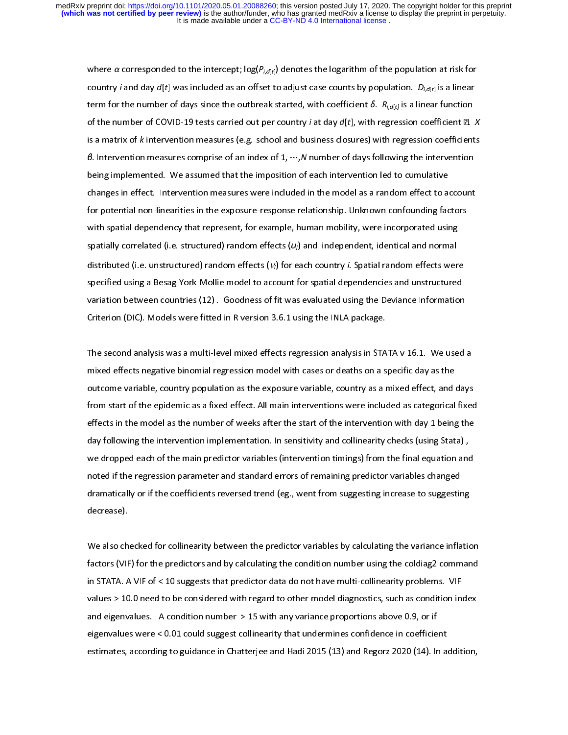country *i* and day  $d[t]$  was included as an offset to adjust case counts by population.  $D_{i,d[t]}$  is a linear<br>term for the number of days since the outbreak started, with coefficient  $\delta$ .  $R_{i,d[t]}$  is a linear function<br>of country rand day d<sub>[t]</sub> was included as an onset to adjust case counts by population. *D<sub>i,d[t]</sub>* is a linear<br>term for the number of days since the outbreak started, with coefficient  $\delta$ .  $R_{i,d[t]}$  is a linear function<br>of of the number of COVID-19 tests carried out per country *i* at day  $d[t]$ , with regression coefficient  $\mathbb{Z}$ . *X* is a matrix of *k* intervention measures (e.g. school and business closures) with regression coefficients of the number of COVID-19 tests carried out per country *f* at day  $a[t]$ , with regression coefficients. X<br>is a matrix of *k* intervention measures (e.g. school and business closures) with regression coefficients<br>*8.* Inter is a matrix of *k* intervention measures (e.g. school and business closures) with regression coefficients<br>*6.* Intervention measures comprise of an index of 1, …,N number of days following the intervention<br>being implemente B. Intervention measures comprise of an index of 1, ⋯,N number of days following the intervention<br>being implemented. We assumed that the imposition of each intervention led to cumulative<br>changes in effect. Intervention me changes in effect. Intervention measures were included in the model as a random effect to a<br>for potential non-linearities in the exposure-response relationship. Unknown confounding fac<br>with spatial dependency that represe for potential non-linearities in the exposure-response relationship. Unknown confounding factors<br>with spatial dependency that represent, for example, human mobility, were incorporated using<br>spatially correlated (i.e. stru with spatial dependency that represent, for example, human mobility, were incorporated using<br>spatially correlated (i.e. structured) random effects  $(u_i)$  and independent, identical and normal<br>distributed (i.e. unstructured spatially correlated (i.e. structured) random effects  $(u_i)$  and independent, identical and normal<br>distributed (i.e. unstructured) random effects  $(v_i)$  for each country *i*. Spatial random effects were<br>specified using a Be spatially correlated (i.e. structured) random effects ( $u_i$ ) for each country *i*. Spatial random effects were specified using a Besag-York-Mollie model to account for spatial dependencies and unstructured variation betwe distributed (i.e. unstructured) random effects (*V<sub>i</sub>*) for each country *i*. Spatial random effects were<br>specified using a Besag-York-Mollie model to account for spatial dependencies and unstructured<br>variation between co specified using the Deviance Information<br>Variation between countries (12) . Goodness of fit was evaluated using the Deviance Information<br>Criterion (DIC). Models were fitted in R version 3.6.1 using the INLA package.<br>The se

Criterion (DIC). Models were fitted in R version 3.6.1 using the INLA package.<br>The second analysis was a multi-level mixed effects regression analysis in STATA v 16.1. We used a<br>mixed effects negative binomial regression m Criterion (DIC). Models were fitted in the India of the India, procession analysis in STA<br>The second analysis was a multi-level mixed effects regression analysis in STA<br>mixed effects negative binomial regression model with ד<br>ו<br>f mixed effects negative binomial regression model with cases or deaths on a specific day as the<br>outcome variable, country population as the exposure variable, country as a mixed effect, and days<br>from start of the epidemic a outcome variable, country population as the exposure variable, country as a mixed effect, and of<br>from start of the epidemic as a fixed effect. All main interventions were included as categorical<br>effects in the model as the out countries that the epidemic as a fixed effect. All main interventions were included as categorical fixed<br>effects in the model as the number of weeks after the start of the intervention with day 1 being the<br>day followin effects in the model as the number of weeks after the start of the intervention with day 1 being the<br>day following the intervention implementation. In sensitivity and collinearity checks (using Stata),<br>we dropped each of t day following the intervention implementation. In sensitivity and collinearity checks (using Stata),<br>we dropped each of the main predictor variables (intervention timings) from the final equation and<br>noted if the regressio day following the intervention implementation in collimity, and collimitativy check (and, 3 class), we dropped each of the main predictor variables (intervention timings) from the final equation and noted if the regression we dropped if the regression parameter and standard errors of remaining predictor variables changed<br>dramatically or if the coefficients reversed trend (eg., went from suggesting increase to suggesting<br>decrease). notes in the regression parameter and standard errors of remaining predictor variables changed<br>dramatically or if the coefficients reversed trend (eg., went from suggesting increase to suggestin<br>decrease).<br>We also checked

decrease).<br>We also checked for collinearity between the predictor variables by calculating the variance inflation<br>factors (VIF) for the predictors and by calculating the condition number using the coldiag2 command decrease).<br>We also ch<br>factors (VIF<br>in STATA. A \<br>|<br>|<br>\ Mexicons (VIF) for the predictors and by calculating the condition number using the coldiag2 command<br>in STATA. A VIF of < 10 suggests that predictor data do not have multi-collinearity problems. VIF<br>values > 10.0 need to b factors (VIF) for the predictors and a) calculating the conditional terms and problems. VIF<br>values > 10.0 need to be considered with regard to other model diagnostics, such as condition index<br>and eigenvalues. A condition values > 10.0 need to be considered with regard to other model diagnostics, such as condition in<br>and eigenvalues. A condition number > 15 with any variance proportions above 0.9, or if<br>eigenvalues were < 0.01 could suggest values such a 10.0 need to be considered with regard to other mogeliancy, such as considered as<br>and eigenvalues. A condition number > 15 with any variance proportions above 0.9, or if<br>eigenvalues were < 0.01 could suggest eigenvalues were < 0.01 could suggest collinearity that undermines confidence in coefficient<br>estimates, according to guidance in Chatterjee and Hadi 2015 (13) and Regorz 2020 (14). In addition, estimates, according to guidance in Chatterjee and Hadi 2015 (13) and Regorz 2020 (14). In a<br>estimates, according to guidance in Chatterjee and Hadi 2015 (13) and Regorz 2020 (14). In a estimates, according to guidance in Chatterjee and Hadi 2015 (13) and Regorz 2020 (14). In addition,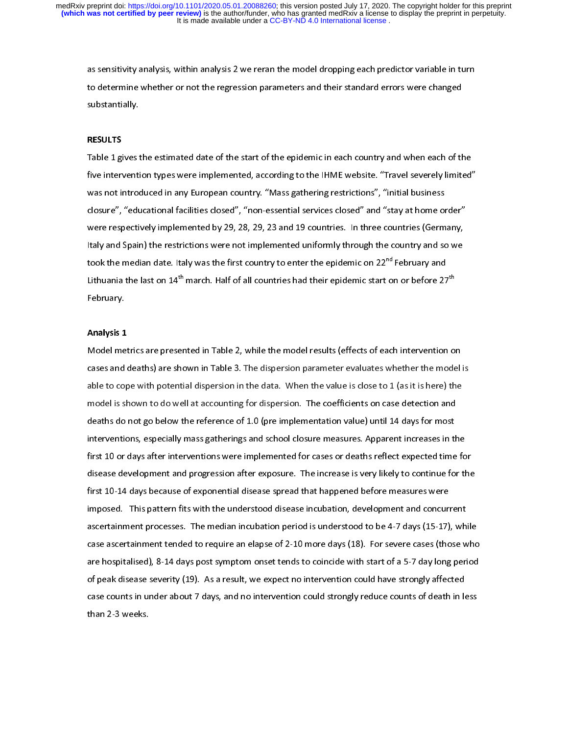as sensitivity analysis, within analysis 2 we reran the model dropping each predictor variable in turn<br>to determine whether or not the regression parameters and their standard errors were changed<br>substantially.<br>RESULTS to determine whetentially.<br>The substantially.<br>Table 1 gives the estimated date of the start of the epidemic in each country and when each of th

substantially.<br>RESULTS<br>Table 1 gives t<br>five interventi |<br>|<br>| RESULTS<br>Table 1 gi<br>five inten<br>was not in<br>closure", five intervention types were implemented, according to the IHME website. "Travel severely limited"<br>was not introduced in any European country. "Mass gathering restrictions", "initial business<br>closure", "educational facilit Five intervention of the Indian of the Indian were strictions and introduced in any European country. "Mass gathering restrictions", "initial business<br>closure", "educational facilities closed", "non-essential services clos closure", "educational facilities closed", "non-essential services closed" and "stay at home or<br>were respectively implemented by 29, 28, 29, 23 and 19 countries. In three countries (Germ<br>Italy and Spain) the restrictions w were respectively implemented by 29, 28, 29, 23 and 19 countries. In three countries (Germany,<br>Italy and Spain) the restrictions were not implemented uniformly through the country and so we<br>took the median date. Italy was Italy and Spain) the restrictions were not implemented uniformly through the country and so we took the median date. Italy was the first country to enter the epidemic on  $22^{nd}$  February and Lithuania the last on  $14^{th}$  Italy and Spannist to enter the epidemic on  $22^{nd}$  February and Lithuania the last on  $14^{th}$  march. Half of all countries had their epidemic start on or before  $27^{th}$ <br>February. took the median date. Italy was the first country to enter the epidemic on 22"" February and<br>Lithuania the last on 14<sup>th</sup> march. Half of all countries had their epidemic start on or before 27<br>February.<br><mark>Analysis 1</mark> Lithuania the last on 14"" march. Half of all countries had their epidemic start on or before 27""<br>February.<br><mark>Analysis 1</mark><br>Model metrics are presented in Table 2, while the model results (effects of each intervention o<sub>l</sub>

#### Analysis 1

Ferraary.<br>Analysis 1<br>Model me<br>cases and ノー・ミ cases and deaths) are shown in Table 3. The dispersion parameter evaluates whether the model<br>able to cope with potential dispersion in the data. When the value is close to 1 (as it is here) the<br>model is shown to do well at able to cope with potential dispersion in the data. When the value is close to 1 (as it is here) the model is shown to do well at accounting for dispersion. The coefficients on case detection and deaths do not go below the model is shown to do well at accounting for dispersion. The coefficients on case detection and<br>deaths do not go below the reference of 1.0 (pre implementation value) until 14 days for most<br>interventions, especially mass ga deaths do not go below the reference of 1.0 (pre implementation value) until 14 days for most<br>interventions, especially mass gatherings and school closure measures. Apparent increases in th<br>first 10 or days after intervent interventions, especially mass gatherings and school closure measures. Apparent increases in the first 10 or days after interventions were implemented for cases or deaths reflect expected time<br>disease development and progr first 10 or days after interventions were implemented for cases or deaths reflect expected time for<br>disease development and progression after exposure. The increase is very likely to continue for the<br>first 10-14 days becau disease development and progression after exposure. The increase is very likely to continue for the<br>first 10-14 days because of exponential disease spread that happened before measures were<br>imposed. This pattern fits with disease development and progression after expression transference incrypting the setting of the increase first<br>first 10-14 days because of exponential disease spread that happened before measures were<br>imposed. This pattern imposed. This pattern fits with the understood disease incubation, development and concuri<br>ascertainment processes. The median incubation period is understood to be 4-7 days (15-17)<br>case ascertainment tended to require an case ascertainment tended to require an elapse of 2-10 more days (18). For severe cases (those who<br>are hospitalised), 8-14 days post symptom onset tends to coincide with start of a 5-7 day long period<br>of peak disease sever case ascertainment tended to require an elapse of 2-10 more days (18). For severe cases (those who<br>are hospitalised), 8-14 days post symptom onset tends to coincide with start of a 5-7 day long period<br>of peak disease sever are hospitalised), 8-14 days post symptom onset tends to coincide with start of a 5-7 day long period<br>of peak disease severity (19). As a result, we expect no intervention could have strongly affected<br>case counts in under are hospitalised), 8-14 are hospitalised of peak disease severity (19). As a result, we expect no intervention could have strongly affected case counts in under about 7 days, and no intervention could strongly reduce count  $\cos$  case counts in under about 7 days, and no intervention could strongly reduce counts of death in k<br>than 2-3 weeks. case counts in under about 7 days, and no intervention could strongly reduce counts of death in less of death in less of death in less of death in less of death in less of death in less of death in less of death in less o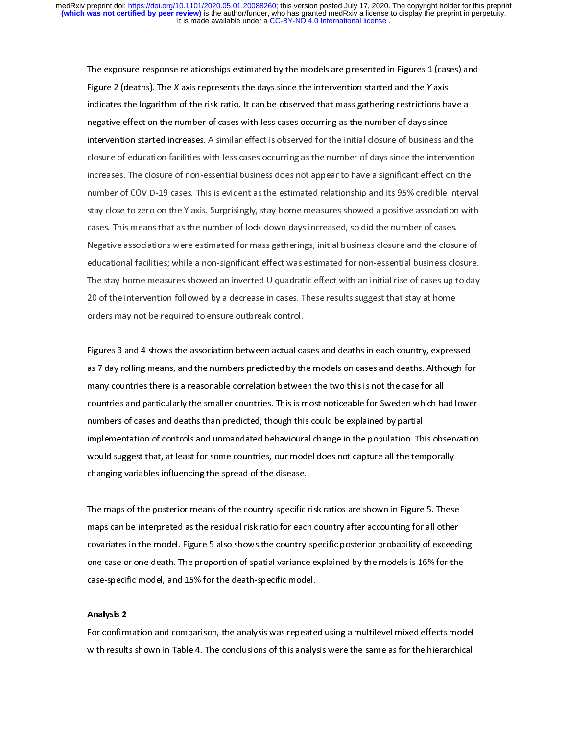The exposure-response relationships estimated by the models are presented in Figures 1 (cases) and<br>Figure 2 (deaths). The *X* axis represents the days since the intervention started and the *Y* axis<br>indicates the logarithm Figure 2 (deaths). The X axis represents the days since the intervention started and the Y axis<br>indicates the logarithm of the risk ratio. It can be observed that mass gathering restrictions ha<br>negative effect on the numbe indicates the logarithm of the risk ratio. It can be observed that mass gameing restriction that the<br>intervention started increases. A similar effect is observed for the initial closure of business and the<br>closure of educa intervention started increases. A similar effect is observed for the initial closure of business an closure of education facilities with less cases occurring as the number of days since the intervincreases. The closure of intervention started increases. The closure of education facilities with less cases occurring as the number of days since the intervention<br>increases. The closure of non-essential business does not appear to have a signific increases. The closure of non-essential business does not appear to have a significant effect on the<br>number of COVID-19 cases. This is evident as the estimated relationship and its 95% credible interval<br>stay close to zero increases of COVID-19 cases. This is evident as the estimated relationship and its 95% credible interv<br>stay close to zero on the Y axis. Surprisingly, stay-home measures showed a positive association wit<br>cases. This means stay close to zero on the Y axis. Surprisingly, stay-home measures showed a positive association with<br>cases. This means that as the number of lock-down days increased, so did the number of cases.<br>Negative associations were stay and the Y and S of the N axis cases. This means that as the number of lock-down days increased, so did the number of cases.<br>Negative associations were estimated for mass gatherings, initial business closure and the cl Negative associations were estimated for mass gatherings, initial business closure and the closu<br>educational facilities; while a non-significant effect was estimated for non-essential business clo<br>The stay-home measures sh Negative associational facilities; while a non-significant effect was estimated for non-essential business closure.<br>The stay-home measures showed an inverted U quadratic effect with an initial rise of cases up to day<br>20 of The stay-home measures showed an inverted U quadratic effect with an initial rise of cases up to day<br>20 of the intervention followed by a decrease in cases. These results suggest that stay at home<br>orders may not be require The stay-home measures interest annualized a <sub>p</sub> annualized user minimum measures supplesting.<br>20 of the intervention followed by a decrease in cases. These results suggest that stay at home<br>orders may not be required to e

20 of the intervention following a successive intervention following engages that stay, at home<br>orders may not be required to ensure outbreak control.<br>Figures 3 and 4 shows the association between actual cases and deaths i Figures 3 and 4 shows the association between actual ca<br>as 7 day rolling means, and the numbers predicted by th<br>many countries there is a reasonable correlation betwee F<br>C<br>C Figures 3 and 4 shows as 7 day rolling means, and the numbers predicted by the models on cases and deaths. Although fo<br>Figures 3 are associated correlation between the two this is not the case for all<br>countries and particu as 7 day rolling means, and alternative predicted by the interest on case for all countries and particularly the smaller countries. This is most noticeable for Sweden which had lower numbers of cases and deaths than predic countries and particularly the smaller countries. This is most noticeable for Sweden which ha<br>numbers of cases and deaths than predicted, though this could be explained by partial<br>implementation of controls and unmandated commer and particularly the smaller commer constraint to the explained by partial<br>numbers of cases and deaths than predicted, though this could be explained by partial<br>implementation of controls and unmandated behavioural implementation of controls and unmandated behavioural change in the population. Th<br>would suggest that, at least for some countries, our model does not capture all the tem<br>changing variables influencing the spread of the di implementation of controls and annuncient behaviour change in the population film of controls and would suggest that, at least for some countries, our model does not capture all the temporally<br>changing variables influencin

would suggest that, at least for some countries, our model does not capture an including temporal,<br>changing variables influencing the spread of the disease.<br>The maps of the posterior means of the country-specific risk rati changing candate ministing the spread of the disease.<br>The maps of the posterior means of the country-specific<br>maps can be interpreted as the residual risk ratio for each<br>covariates in the model. Figure 5 also shows the cou  $\frac{1}{3}$ The maps can be interpreted as the residual risk ratio for each country after accounting for all other<br>covariates in the model. Figure 5 also shows the country-specific posterior probability of exceedione case or one death covariates in the model. Figure 5 also shows the country-specific posterior probability of exceed<br>one case or one death. The proportion of spatial variance explained by the models is 16% for the<br>case-specific model, and 15 one case or one death. The proportion of spatial variance explained by the models is 16% for the<br>case-specific model, and 15% for the death-specific model.<br>Analysis 2 one case-specific model, and 15% for the death-specific model.<br>Case-specific model, and 15% for the death-specific model.<br>For confirmation and comparison, the analysis was repeated using a multilevel mixed effects mod

#### Analysis 2

case-specific model.<br>Analysis 2<br>For confirmation and comparison, the analysis was repeate<br>with results shown in Table 4. The conclusions of this analys ノト with results shown in Table 4. The conclusions of this analysis were the same as for the hierarchical with results shown in Table 4. The conclusions of this analysis were the same as for the hierarchical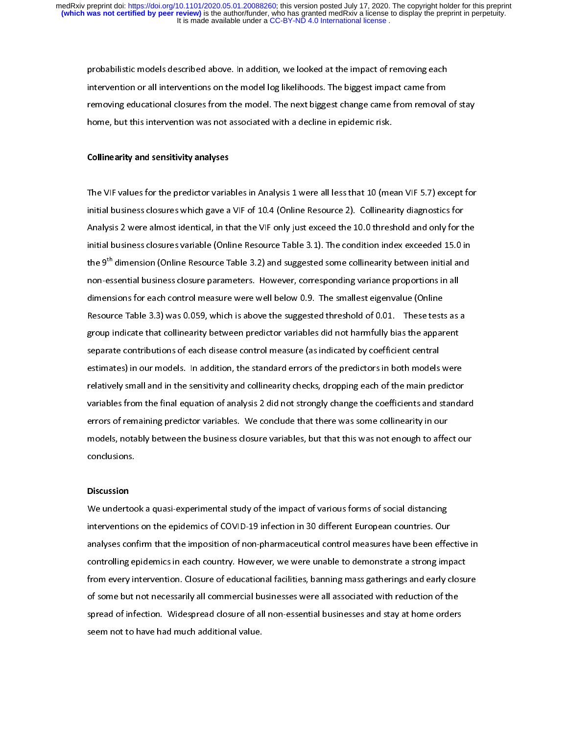probabilistic models described above. In addition, we looked at the impact of removing each<br>intervention or all interventions on the model log likelihoods. The biggest impact came from<br>removing educational closures from th removing educational closures from the model. The next biggest change came from removal of stay removing educational closure from the model. The next  $\frac{1}{2}$  change came from removal of stay.<br>home, but this intervention was not associated with a decline in epidemic risk.<br>Collinearity and sensitivity analyses

#### Collinearity and sensitivity analyses

The VIF values for the predictor variables in Analysis 1 were all less that 10 (mean VIF 5.7) except for  $\frac{1}{1}$  $\frac{1}{\pi}$ Initial business closures which gave a VIF of 10.4 (Online Resource 2). Collinearity diagnostics for<br>Analysis 2 were almost identical, in that the VIF only just exceed the 10.0 threshold and only for the<br>Initial business c Analysis 2 were almost identical, in that the VIF only just exceed the 10.0 threshold and only for t<br>initial business closures variable (Online Resource Table 3.1). The condition index exceeded 15.0 i<br>the 9<sup>th</sup> dimension ( Analysis 2 were almost variable (Online Resource Table 3.1). The condition index exceeded 15.0 in<br>the 9<sup>th</sup> dimension (Online Resource Table 3.2) and suggested some collinearity between initial and<br>non-essential business c the 9<sup>th</sup> dimension (Online Resource Table 3.2) and suggested some collinearity between initial and<br>non-essential business closure parameters. However, corresponding variance proportions in all<br>dimensions for each control non-essential business closure parameters. However, corresponding variance proportions in all<br>dimensions for each control measure were well below 0.9. The smallest eigenvalue (Online<br>Resource Table 3.3) was 0.059, which is dimensions for each control measure were well below 0.9. The smallest eigenvalue (Online<br>Resource Table 3.3) was 0.059, which is above the suggested threshold of 0.01. These test<br>group indicate that collinearity between pr Resource Table 3.3) was 0.059, which is above the suggested threshold of 0.01. These test<br>group indicate that collinearity between predictor variables did not harmfully bias the appar<br>separate contributions of each disease group indicate that collinearity between predictor variables did not harmfully bias the apparent<br>separate contributions of each disease control measure (as indicated by coefficient central<br>estimates) in our models. In addi group indicate that contributions of each disease control measure (as indicated by coefficient central<br>estimates) in our models. In addition, the standard errors of the predictors in both models were<br>relatively small and i separates) in our models. In addition, the standard errors of the predictors in both models<br>relatively small and in the sensitivity and collinearity checks, dropping each of the main pre<br>variables from the final equation o relatively small and in the sensitivity and collinearity checks, dropping each of the main predictor<br>variables from the final equation of analysis 2 did not strongly change the coefficients and standa<br>errors of remaining p variables from the final equation of analysis 2 did not strongly change the coefficients and standa<br>errors of remaining predictor variables. We conclude that there was some collinearity in our<br>models, notably between the b variables from the final equation of analysis 2 and not strongly change the coefficients and standard<br>errors of remaining predictor variables. We conclude that there was some collinearity in our<br>models, notably between the errors of remaining predictors of remainded that this was not enough to affer<br>conclusions.<br>Discussion models, notably between the business closure variables, but that the business conclusions.<br>Conclusions<br>We undertook a quasi-experimental study of the impact of various forms of social distancing

conclusions.<br>Discussion<br>We undertook a quasi-experimental study of the impact of various forms of social distancing<br>interventions on the epidemics of COVID-19 infection in 30 different European countries. Our |<br>|<br>|<br>|<br>| Discussion<br>We underte<br>interventio<br>analyses co<br>controlling Metrical a quasi-experimental steady of the impact of the terms of terms in the impaction<br>interventions on the epidemics of COVID-19 infection in 30 different European countries. Our<br>analyses confirm that the imposition of interventions on the emposition of non-pharmaceutical control measures have been effection<br>interventions of Covid-19 infection in 30 different controlling epidemics in each country. However, we were unable to demonstrate a controlling epidemics in each country. However, we were unable to demonstrate a strong impact<br>from every intervention. Closure of educational facilities, banning mass gatherings and early closure<br>of some but not necessaril from every intervention. Closure of educational facilities, banning mass gatherings and early closu<br>of some but not necessarily all commercial businesses were all associated with reduction of the<br>spread of infection. Wides from every intervention. Closure of entertainmediations, and its gatherings and early closure of some but not necessarily all commercial businesses were all associated with reduction of the spread of infection. Widespread spread of infection. Widespread closure of all non-essential businesses and stay at home orders<br>seem not to have had much additional value. seem not to have had much additional value.<br>Seem not to have had much additional value.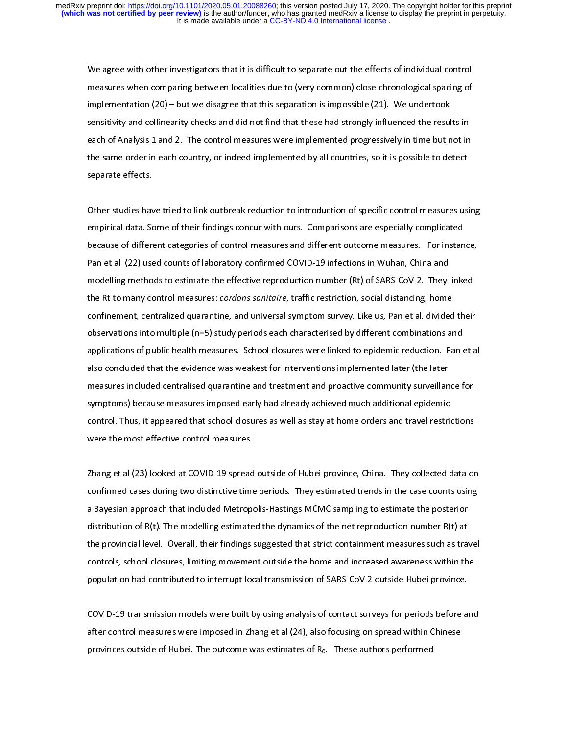We agree with other investigators that it is difficult to separate out the effects of individual control<br>measures when comparing between localities due to (very common) close chronological spacing of<br>implementation (20) – implementation (20) – but we disagree that this separation is impossible (21). We undertook<br>sensitivity and collinearity checks and did not find that these had strongly influenced the results in<br>each of Analysis 1 and 2. T sensitivity and collinearity checks and did not find that these had strongly influenced the result each of Analysis 1 and 2. The control measures were implemented progressively in time but no<br>the same order in each country the same order in each country, or indeed implemented by all countries, so it is possible to detect<br>separate effects. each of Analysis 2 and 2. The country, or indeed implemented by all countries, so it is possible to detect<br>separate effects.<br>Other studies have tried to link outbreak reduction to introduction of specific control measures

the same order in each country, or indeed implemented by all country, or in plemate to detect<br>separate effects.<br>Other studies have tried to link outbreak reduction to introduction of specific control measures usi<br>empirical separation<br>Other studies hav<br>empirical data. Sc<br>because of differe (<br>|}<br>|} empirical data. Some of their findings concur with ours. Comparisons are especially complicated<br>because of different categories of control measures and different outcome measures. For instance,<br>Pan et al (22) used counts o ent parameter of their terms in their government and comparison to the parameters. For instandance because of different categories of control measures and different outcome measures. For instandance are especially complica Pan et al (22) used counts of laboratory confirmed COVID-19 infections in Wuhan, China and<br>modelling methods to estimate the effective reproduction number (Rt) of SARS-CoV-2. They linked<br>the Rt to many control measures: *c* modelling methods to estimate the effective reproduction number (Rt) of SARS-CoV-2. They l<br>the Rt to many control measures: *cordons sanitaire,* traffic restriction, social distancing, home<br>confinement, centralized quarant the Rt to many control measures: *cordons sanitaire*, traffic restriction, social distancing, home<br>confinement, centralized quarantine, and universal symptom survey. Like us, Pan et al. divided their<br>observations into mult the Rt to many control measures: cordons samtaine, traine restriction, social distancing, none<br>confinement, centralized quarantine, and universal symptom survey. Like us, Pan et al. divided<br>observations into multiple (n=5) observations into multiple (n=5) study periods each characterised by different combinations and<br>applications of public health measures. School closures were linked to epidemic reduction. Pan et a<br>also concluded that the ev applications of public health measures. School closures were linked to epidemic reduction. Pan a<br>also concluded that the evidence was weakest for interventions implemented later (the later<br>measures included centralised qua also concluded that the evidence was weakest for interventions implemented later (the later<br>measures included centralised quarantine and treatment and proactive community surveillance for<br>symptoms) because measures imposed also concluded that the enterint in the evidence was intervention in promotive that the later<br>measures included centralised quarantine and treatment and proactive community surveillan<br>symptoms) because measures imposed ear symptoms) because measures imposed early had already achieved much additional epidemic<br>control. Thus, it appeared that school closures as well as stay at home orders and travel restrictions<br>were the most effective control symptoms) is control. Thus, it appeared that school closures as well as stay at home orders and travel restriction<br>were the most effective control measures.<br>Zhang et al (23) looked at COVID-19 spread outside of Hubei provi

control. The were the most effective control measures.<br>2 hang et al (23) looked at COVID-19 spread outside of Hubei province, China. They collected data or<br>2 confirmed cases during two distinctive time periods. They estima were the most encoure control measures.<br>Zhang et al (23) looked at COVID-19 spread<br>confirmed cases during two distinctive time<br>a Bayesian approach that included Metrope یے<br>c<br>c confirmed cases during two distinctive time periods. They estimated trends in the case counts using<br>a Bayesian approach that included Metropolis-Hastings MCMC sampling to estimate the posterior<br>distribution of R(t). The m a Bayesian approach that included Metropolis-Hastings MCMC sampling to estimate the posterior<br>distribution of R(t). The modelling estimated the dynamics of the net reproduction number R(t) at<br>the provincial level. Overall, distribution of R(t). The modelling estimated the dynamics of the net reproduction number R(t) at<br>the provincial level. Overall, their findings suggested that strict containment measures such as traveontrols, school closur the provincial level. Overall, their findings suggested that strict containment measures such as traveontrols, school closures, limiting movement outside the home and increased awareness within the population had contribut the provincial levels, imiting movement outside the home and increased awareness within the<br>population had contributed to interrupt local transmission of SARS-CoV-2 outside Hubei province.<br>COVID-19 transmission models were

population had contributed to interrupt local transmission of SARS-CoV-2 outside Hubei province.<br>COVID-19 transmission models were built by using analysis of contact surveys for periods before and<br>after control measures we population had contributed to interrupt local transmission. It will be a contributed transmission of COVID-19 transmission models were built by using analysis of contact surveys for periods before a<br>after control measures (<br>{<br>} after control measures were imposed in Zhang et al (24), also focusing on spread within Chinese<br>provinces outside of Hubei. The outcome was estimates of R<sub>0</sub>. These authors performed provinces outside of Hubei. The outcome was estimates of  $R_0$ . These authors performed within Chinese authors for space  $\frac{1}{2}$ provinces outside outcome was estimated outcome was estimated by the outcome was estimated by the outcome was <br>The outcome was estimated by the outcome was estimated by the outcome was estimated by the outcome was estimat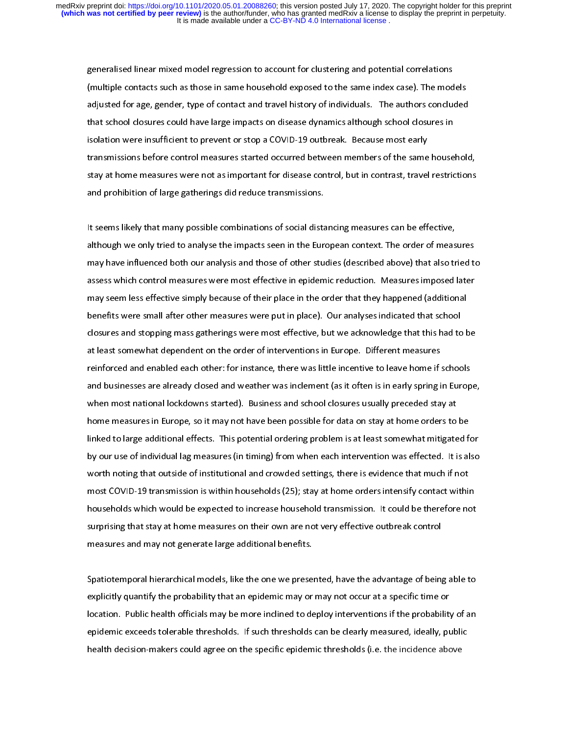generalised linear mixed model regression to account for clustering and potential correlations<br>(multiple contacts such as those in same household exposed to the same index case). The models<br>adjusted for age, gender, type o adjusted for age, gender, type of contact and travel history of individuals. The authors concluded adjusted for age, general, species and and transformer, the authors contact and the authors contact that school closures in<br>isolation were insufficient to prevent or stop a COVID-19 outbreak. Because most early<br>transmissio isolation were insufficient to prevent or stop a COVID-19 outbreak. Because most early<br>transmissions before control measures started occurred between members of the same house<br>stay at home measures were not as important fo In the summanded to prevent to the prevent or stop and the control mention in the same<br>transmissions before control measures started occurred between members of the same<br>stay at home measures were not as important for dise stay at home measures were not as important for disease control, but in contrast, travel restrictions<br>and prohibition of large gatherings did reduce transmissions.<br>It seems likely that many possible combinations of social

stand prohibition of large gatherings did reduce transmissions.<br>It seems likely that many possible combinations of social distancing measures can be effective,<br>although we only tried to analyse the impacts seen in the Euro and problems in the same in the sems likely that many possible combinations of social distant<br>although we only tried to analyse the impacts seen in the Euro<br>may have influenced both our analysis and those of other stu ー<br>「<br>「<br>( It seems many manurary persons remainments in the European context. The order of meas<br>In any have influenced both our analysis and those of other studies (described above) that also tr<br>assess which control measures were mo may have influenced both our analysis and those of other studies (described above) that also tried to<br>assess which control measures were most effective in epidemic reduction. Measures imposed later<br>may seem less effective may seem less effective simply because of their place in the order that they happened (additional<br>may seem less effective simply because of their place in the order that they happened (additional<br>benefits were small after may seem less effective simply because of their place in the order that they happened (additional<br>benefits were small after other measures were put in place). Our analyses indicated that school<br>closures and stopping mass g may seem the simple states is then place in the order that they happened (additional<br>benefits were small after other measures were put in place). Our analyses indicated that school<br>closures and stopping mass gatherings wer closures and stopping mass gatherings were most effective, but we acknowledge that this had to<br>at least somewhat dependent on the order of interventions in Europe. Different measures<br>reinforced and enabled each other: for at least somewhat dependent on the order of interventions in Europe. Different measures<br>reinforced and enabled each other: for instance, there was little incentive to leave home if schools<br>and businesses are already closed reinforced and enabled each other: for instance, there was little incentive to leave home if<br>and businesses are already closed and weather was inclement (as it often is in early spring i<br>when most national lockdowns starte remote a minimization and thereinforced and weather was inclement (as it often is in early spring in Europ<br>when most national lockdowns started). Business and school closures usually preceded stay at<br>home measures in Europ when most national lockdowns started). Business and school closures usually preceded stay at<br>home measures in Europe, so it may not have been possible for data on stay at home orders to be<br>linked to large additional effect when most national lockdowns started). But the constrained strain, preceded stay, and<br>home measures in Europe, so it may not have been possible for data on stay at home orders to<br>linked to large additional effects. This po linked to large additional effects. This potential ordering problem is at least somewhat mitigated for our use of individual lag measures (in timing) from when each intervention was effected. It is all<br>worth noting that ou linked to large and to large and the problem in problem in the minister additional order by our use of individual lag measures (in timing) from when each intervention was effected. It is also worth noting that outside of i by the disturbanding measures (in timing) from their elements content intervention in the lift<br>worth noting that outside of institutional and crowded settings, there is evidence that much if not<br>most COVID-19 transmission worth noting that outside of institutional and crowded class, there is enables that much it is<br>most COVID-19 transmission is within households (25); stay at home orders intensify contact withit<br>households which would be ex households which would be expected to increase household transmission. It could be therefore not<br>surprising that stay at home measures on their own are not very effective outbreak control<br>measures and may not generate larg surprising that stay at home measures on their own are not very effective outbreak control<br>measures and may not generate large additional benefits.<br>Spatiotemporal hierarchical models, like the one we presented, have the ad

surprision of the surprising that states in the measures and may not generate large additional benefits.<br>Spatiotemporal hierarchical models, like the one we presented, have the advantage of being<br>explicitly quantify the pr measures and may need and may examine interests.<br>Spatiotemporal hierarchical models, like the one we preser<br>explicitly quantify the probability that an epidemic may or<br>location. Public health officials may be more inclined د<br>€<br>6 | explicitly quantify the probability that an epidemic may or may not occur at a specific time or<br>location. Public health officials may be more inclined to deploy interventions if the probability of an<br>epidemic exceeds toler location. Public health officials may be more inclined to deploy interventions if the probability of an epidemic exceeds tolerable thresholds. If such thresholds can be clearly measured, ideally, public health decision-makers could agree on the specific epidemic thresholds (i.e. the incidence above health decision-makers could agree on the specific epidemic thresholds (i.e. the incidence above).<br>The incidence above above above above above above above above above above above above above above above above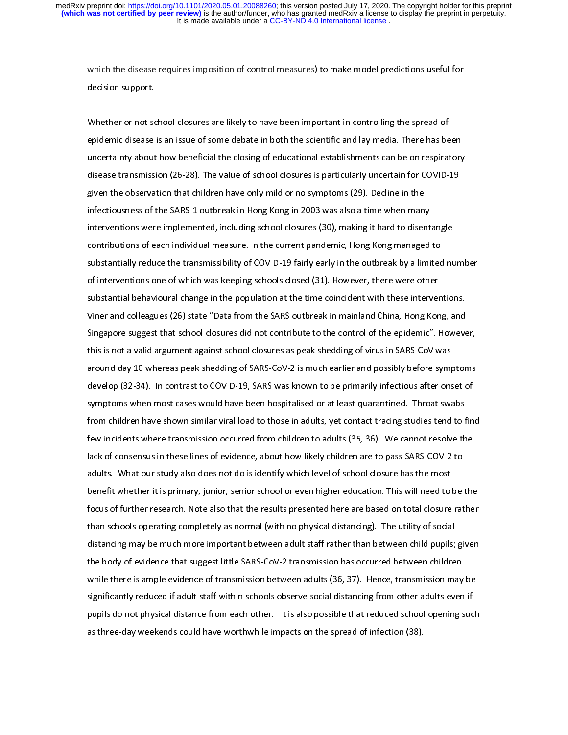decision support.<br>Whether or not school closures are likely to have been important in controlling the spread of<br>epidemic disease is an issue of some debate in both the scientific and lay media. There has been whether or not so<br>epidemic disease<br>uncertainty about י<br>1<br>ג epidemic disease is an issue of some debate in both the scientific and lay media. There has be<br>uncertainty about how beneficial the closing of educational establishments can be on respirat<br>disease transmission (26-28). The epidemic disease is an ideal of some debate in both the scientific and lay media. The scientific and uncertainty about how beneficial the closing of educational establishments can be on respiratory disease transmission (26 disease transmission (26-28). The value of school closures is particularly uncertain for COVID-19<br>given the observation that children have only mild or no symptoms (29). Decline in the<br>infectiousness of the SARS-1 outbreak given the observation that children have only mild or no symptoms (29). Decline in the<br>infectiousness of the SARS-1 outbreak in Hong Kong in 2003 was also a time when many<br>interventions were implemented, including school c infectiousness of the SARS-1 outbreak in Hong Kong in 2003 was also a time when mantinterventions were implemented, including school closures (30), making it hard to diser contributions of each individual measure. In the c interventions were implemented, including school closures (30), making it hard to disent<br>contributions of each individual measure. In the current pandemic, Hong Kong managed<br>substantially reduce the transmissibility of COV interventions of each individual measure. In the current pandemic, Hong Kong managed to<br>substantially reduce the transmissibility of COVID-19 fairly early in the outbreak by a limited nu<br>of interventions one of which was k substantially reduce the transmissibility of COVID-19 fairly early in the outbreak by a limited<br>of interventions one of which was keeping schools closed (31). However, there were other<br>substantial behavioural change in the of interventions one of which was keeping schools closed (31). However, there were other<br>substantial behavioural change in the population at the time coincident with these interventions.<br>Viner and colleagues (26) state "Da substantial behavioural change in the population at the time coincident with these interver<br>Viner and colleagues (26) state "Data from the SARS outbreak in mainland China, Hong Kon<br>Singapore suggest that school closures di Viner and colleagues (26) state "Data from the SARS outbreak in mainland China, Hong Kong, and<br>Singapore suggest that school closures did not contribute to the control of the epidemic". Howeve<br>this is not a valid argument Singapore suggest that school closures did not contribute to the control of the epidemic". Howeve<br>this is not a valid argument against school closures as peak shedding of virus in SARS-CoV was<br>around day 10 whereas peak sh Singapore suggest that school closures as peak shedding of virus in SARS-CoV was<br>around day 10 whereas peak shedding of SARS-CoV-2 is much earlier and possibly before symptoms<br>develop (32-34). In contrast to COVID-19, SARS around day 10 whereas peak shedding of SARS-CoV-2 is much earlier and possibly before sympdovelop (32-34). In contrast to COVID-19, SARS was known to be primarily infectious after ons<br>symptoms when most cases would have be develop (32-34). In contrast to COVID-19, SARS was known to be primarily infectious after onset of<br>symptoms when most cases would have been hospitalised or at least quarantined. Throat swabs<br>from children have shown simila symptoms when most cases would have been hospitalised or at least quarantined. Throat swabs<br>from children have shown similar viral load to those in adults, yet contact tracing studies tend to fin<br>few incidents where transm symptoms in then most cases would be those in adults, yet contact tracing studies tend to f<br>few incidents where transmission occurred from children to adults (35, 36). We cannot resolve th<br>lack of consensus in these lines few incidents where transmission occurred from children to adults (35, 36). We cannot resolve the<br>lack of consensus in these lines of evidence, about how likely children are to pass SARS-COV-2 to<br>adults. What our study als fack of consensus in these lines of evidence, about how likely children are to pass SARS-COV-2 to<br>adults. What our study also does not do is identify which level of school closure has the most<br>benefit whether it is primary adults. What our study also does not do is identify which level of school closure has the most<br>benefit whether it is primary, junior, senior school or even higher education. This will need to be<br>focus of further research. adults. What our study also does not do it is also that the results presented here are based on total closure<br>focus of further research. Note also that the results presented here are based on total closure<br>than schools ope becaus of further research. Note also that the results presented here are based on total closure rather<br>than schools operating completely as normal (with no physical distancing). The utility of social<br>distancing may be muc for further research. Note also that the results presented here are below that the results pairs<br>than schools operating completely as normal (with no physical distancing). The utility of social<br>distancing may be much more than schools operating completely as normal (with no physical distancing). The utility of social<br>distancing may be much more important between adult staff rather than between child pupils; given<br>the body of evidence that s distancing may be much more important between and terms in that between than pupils; given<br>the body of evidence that suggest little SARS-CoV-2 transmission has occurred between children<br>while there is ample evidence of tra while there is ample evidence of transmission between adults (36, 37). Hence, transmission may<br>significantly reduced if adult staff within schools observe social distancing from other adults even<br>pupils do not physical dis significantly reduced if adult staff within schools observe social distancing from other adults even if<br>pupils do not physical distance from each other. It is also possible that reduced school opening suc<br>as three-day week pupils do not physical distance from each other. It is also possible that reduced school opening such as three-day weekends could have worthwhile impacts on the spread of infection (38). as three-day weekends could have worthwhile impacts on the spread of infection (38).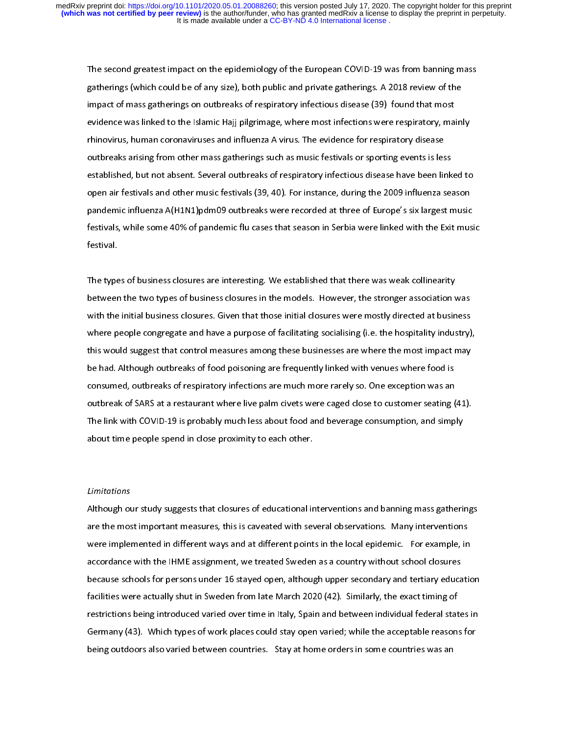The second gratherings (which could be of any size), both public and private gatherings. A 2018 review of the<br>impact of mass gatherings on outbreaks of respiratory infectious disease (39) found that most<br>evidence was linke impact of mass gatherings on outbreaks of respiratory infectious disease (39) found that most<br>evidence was linked to the Islamic Hajj pilgrimage, where most infections were respiratory, main<br>rhinovirus, human coronaviruses impact of mass gamsings on outbreaks of respiratory infections were respiratory, mathinovirus, human coronaviruses and influenza A virus. The evidence for respiratory disease outbreaks arising from other mass gatherings su evidence was linked to the Islamic Hajj pilgrimage, where incremented the Hagpletted, January<br>rhinovirus, human coronaviruses and influenza A virus. The evidence for respiratory disease<br>outbreaks arising from other mass ga rhin and influenzation of the mass gatherings such as music festivals or sporting events is les<br>established, but not absent. Several outbreaks of respiratory infectious disease have been lin<br>open air festivals and other mu established, but not absent. Several outbreaks of respiratory infectious disease have been link<br>open air festivals and other music festivals (39, 40). For instance, during the 2009 influenza sea<br>pandemic influenza A(H1N1)p open air festivals and other music festivals (39, 40). For instance, during the 2009 influenza season<br>pandemic influenza A(H1N1)pdm09 outbreaks were recorded at three of Europe's six largest music<br>festivals, while some 40% pandemic influenza A(H1N1)pdm09 outbreaks were recorded at three of Europe's six largest music<br>festivals, while some 40% of pandemic flu cases that season in Serbia were linked with the Exit mus<br>festival. particulary of the some 40% of pandemic flu cases that season in Serbia were linked with the Exit musifiestival.<br>Festival.<br>The types of business closures are interesting. We established that there was weak collinearity

festival.<br>The types of business closures are interesting. We established that there was weak collinearity<br>between the two types of business closures in the models. However, the stronger association was The type<br>betweer<br>with the |<br>|<br>| The types of business closures in the models. However, the stronger association with the initial business closures. Given that those initial closures were mostly directed at busine<br>where people congregate and have a purpos with the initial business closures. Given that those initial closures were mostly directed at business<br>where people congregate and have a purpose of facilitating socialising (i.e. the hospitality industry)<br>this would sugge where people congregate and have a purpose of facilitating socialising (i.e. the hospitality industry)<br>this would suggest that control measures among these businesses are where the most impact may<br>be had. Although outbreak where people congregate and have a purpose of facilitating comating (i.e. the hoppinal) matter, j.<br>this would suggest that control measures among these businesses are where the most impact may<br>be had. Although outbreaks of the had. Although outbreaks of food poisoning are frequently linked with venues where food is<br>consumed, outbreaks of respiratory infections are much more rarely so. One exception was an<br>outbreak of SARS at a restaurant whe be had although outbreaks of respiratory infections are much more rarely so. One exception was an outbreak of SARS at a restaurant where live palm civets were caged close to customer seating (<br>The link with COVID-19 is pro outbreak of SARS at a restaurant where live palm civets were caged close to customer seating (<br>The link with COVID-19 is probably much less about food and beverage consumption, and simp<br>about time people spend in close pro The link with COVID-19 is probably much less about food and beverage consumption, and simply<br>about time people spend in close proximity to each other. The link with COVID-19 is provided about time people spend in close proximity to each other.<br>Limitations

#### Limitations

Although our study suggests that closures of educational interventions and banning mass gatherings |<br>|<br>|<br>| しんこく Although our study suggests that closure of extended with several observations. Many interventions<br>are the most important measures, this is caveated with several observations. Many interventions<br>were implemented in differe were implemented in different ways and at different points in the local epidemic. For example, in<br>accordance with the IHME assignment, we treated Sweden as a country without school closures<br>because schools for persons unde accordance with the IHME assignment, we treated Sweden as a country without school closures<br>because schools for persons under 16 stayed open, although upper secondary and tertiary education<br>facilities were actually shut in because schools for persons under 16 stayed open, although upper secondary and tertiary educa<br>facilities were actually shut in Sweden from late March 2020 (42). Similarly, the exact timing of<br>restrictions being introduced facilities were actually shut in Sweden from late March 2020 (42). Similarly, the exact timing of restrictions being introduced varied over time in Italy, Spain and between individual federal states in Germany (43). Which types of work places could stay open varied; while the acceptable reasons for being outdoors also varied between countries. Stay at home orders in some countries was an being outdoors also varied between countries. Stay at home orders in some countries was an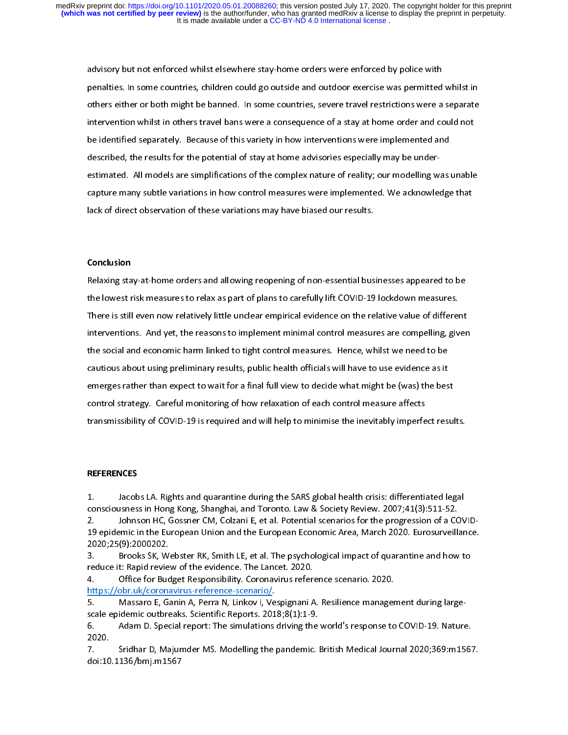advisory but not enforced whilst elsewhere stay-home orders were enforced by police with<br>penalties. In some countries, children could go outside and outdoor exercise was permitted whilst in<br>others either or both might be b performance inters either or both might be banned. In some countries, severe travel restrictions were a separate<br>intervention whilst in others travel bans were a consequence of a stay at home order and could not<br>be identif Intervention whilst in others travel bans were a consequence of a stay at home order and could not<br>be identified separately. Because of this variety in how interventions were implemented and<br>described, the results for the intervention minimum entertion while while the consequence of the identified separately. Because of this variety in how interventions were implemented and described, the results for the potential of stay at home advisories be incriment repeaters, a creater of this random measurement are implemented and<br>described, the results for the potential of stay at home advisories especially may be under-<br>estimated. All models are simplifications of the capture many subtle variations in how control measures were implemented. We acknowledge that<br>lack of direct observation of these variations may have biased our results. capture many subtle variations in the variations in the variations in the variations were implemented. We also<br>control measures were implemented. We also control measures were interested. We also<br>control measure of the set lack of direct observation of these variations may have biased our results.<br><br>**Conclusion**<br>Relaxing stay-at-home orders and allowing reopening of non-essential businesses appeared to be

## Conclusion

(<br>F<br>t (Friedrich the lowest risk measures to relax as part of plans to carefully lift COVID-19 lockdown measures.<br>There is still even now relatively little unclear empirical evidence on the relative value of different<br>interventions. And ye There is still even now relatively little unclear empirical evidence on the relative value of different interventions. And yet, the reasons to implement minimal control measures are compelling, given<br>the social and economic harm linked to tight control measures. Hence, whilst we need to be<br>cautious about using preliminary re interventions. And yet, the reasons to implement minimal control measures in the social and economic harm linked to tight control measures. Hence, whilst we need to be cautious about using preliminary results, public healt cautious about using preliminary results, public health officials will have to use evidence as it<br>emerges rather than expect to wait for a final full view to decide what might be (was) the bes<br>control strategy. Careful mon emerges rather than expect to wait for a final full view to decide what might be (was) the best<br>control strategy. Careful monitoring of how relaxation of each control measure affects control strategy. Careful monitoring of how relaxation of each control measure affects<br>transmissibility of COVID-19 is required and will help to minimise the inevitably imperfect result<br>transmissibility of COVID-19 is requ control strategy. Careful monitoring of the treatment of each control measure affects<br>transmissibility of COVID-19 is required and will help to minimise the inevitably imperfe<br>REFERENCES

### **REFERENCES**

transmissibility of COVID-19<br>transmissibility of COVID-19 is represented and will help to minimise the SARS global health crisis: differentiated legal<br>1. The Jacobs LA. Rights and quarantine during the SARS global health c  $\begin{array}{c} \begin{array}{c} \begin{array}{c} \end{array}\\ \begin{array}{c} \end{array}\\ \begin{array}{c} \end{array}\\ \begin{array}{c} \end{array}\\ \begin{array}{c} \end{array}\\ \begin{array}{c} \end{array}\\ \begin{array}{c} \end{array}\\ \begin{array}{c} \end{array}\\ \begin{array}{c} \end{array}\\ \end{array} \end{array}$  $\begin{bmatrix} 1 \\ 2 \\ 3 \end{bmatrix}$ 

 consciousness in Hong Kong, Shanghai, and Toronto. Law & Society Review. 2007;41(3):511-52.<br>2. Johnson HC, Gossner CM, Colzani E, et al. Potential scenarios for the progression of a COV<br>19 epidemic in the European Union an consciousness in Hong Kong, Shanghai, and Toronto. Law Eventric Liveration Liveration of a CC<br>2. Shanghai in the European Union and the European Economic Area, March 2020. Eurosurveill:<br>2020;25(9):2000202.<br>3. Brooks SK, We

2020;25(9):2000202.<br>
19 Brooks SK, Webster RK, Smith LE, et al. The psychological impact of quarantine and how to<br>
19 Feduce it: Rapid review of the evidence. The Lancet. 2020.<br>
19 Office for Budget Responsibility. Coronav 2020;25(9):2000202.<br>
3. Brooks SK, Webster RK, Smith LE, et al. The psychological impact of quarantine and how to<br>
reduce it: Rapid review of the evidence. The Lancet. 2020.<br>
4. Office for Budget Responsibility. Coronaviru

France International Act and The European of the European of the European of the European of the Scale epidemic outbreaks. Scientific Reports. 2018;8(1):1-9<br>Scale epidemic outbreaks. Scientific Reports. 2018;8(1):1-9<br>6. Ad

nceps, Johnson Home Home Coloration Home Columbian Home Coloration of the progression of a Court of the progres Freduce it: Rapid review of the evidence. The Lancet. 2020.<br>
3. Brooks School and Market Constants School and A. The psychology of the evidence scenario. 2020.<br>
2. Brooks://obr.uk/coronavirus-reference-scenario/.<br>
5. Massa https://obr.uk/coronavirus-reference-scenario/.<br>5. Massaro E, Ganin A, Perra N, Linkov I, Vespignani A. Resilience manager<br>scale epidemic outbreaks. Scientific Reports. 2018;8(1):1-9.<br>6. Adam D. Special report: The simulat Massaro E, Ganin A, Perra N, Linkov I, Ve<br>scale epidemic outbreaks. Scientific Reports. 201<br>6. Adam D. Special report: The simulations<br>2020. Sridhar D, Majumder MS. Modelling the<br>doi:10.1136/bmj.m1567

scale epidemic entertainment in the integration of the simulations driving the 2020.<br>8. Stidhar D, Majumder MS. Modelling the pandemic.<br>8. Stidhar D, Majumder MS. Modelling the pandemic. 6. Adam D. Special report: The simulations driving the world's response to COVID-19. Nature. -----<br>7.<br>doi:10 1. Sridhar D, Majumder Ms. Modelling the pandemic Links Medical Journal 2020;37:000000000000000000000000000000<br>doi:10.1136/bmj.m1567 doi:10.1136/bmj.m1567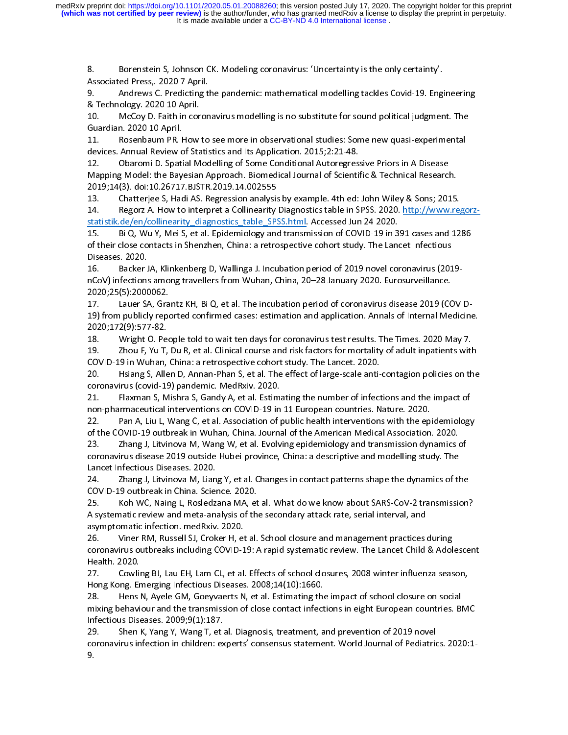8.

8. Borenstein S, Associated Press, 2020 7 April.<br>
9. Andrews C. Predicting the pandemic: mathematical modelling tackles Covid-19. Engi<br>
& Technology. 2020 10 April.<br>
10. McCoy D. Faith in coronavirus modelling is no substi

9. Andrews C. Predicting to<br>
& Technology. 2020 10 April.<br>
10. McCoy D. Faith in coron<br>
Guardian. 2020 10 April.<br>
11. Rosenbaum PR. How to<br>
devices. Annual Review of Statis 8. Technology. 2020 10 April.<br>
9. McCoy D. Faith in coronavirus modelling is no substitute for sound political judgment. The<br>
9. McCoy D. Faith in coronavirus modelling is no substitute for sound political judgment. The<br>
9

10. McCoy D. Faith in corn<br>Guardian. 2020 10 April.<br>11. Rosenbaum PR. How<br>devices. Annual Review of Sta<br>12. Obaromi D. Spatial M<br>Mapping Model: the Bayesiar Guardian. 2020 10 April.<br>11. Bosenbaum PR. How to see more in observational studies: Some new quasi-experimental<br>devices. Annual Review of Statistics and Its Application. 2015;2:21-48.<br>12. Obaromi D. Spatial Modelling of S The Rosenbaum PR. H<br>devices. Annual Review c<br>12. Cobaromi D. Spati<br>Mapping Model: the Bay<br>2019;14(3). doi:10.26717<br>13. Chatterjee S, Hau devices. Annual Review of Statistics and Its Application. 2015;2:21-48.<br>12. Obaromi D. Spatial Modelling of Some Conditional Autoregressive Priors in A Disease<br>Mapping Model: the Bayesian Approach. Biomedical Journal of Sc 12. Obaromi D. Spatial Modelling of Some Conditional Autoregres:<br>Mapping Model: the Bayesian Approach. Biomedical Journal of Scienti:<br>2019;14(3). doi:10.26717.BJSTR.2019.14.002555<br>13. Chatterjee S, Hadi AS. Regression anal Mapping Model: the Bayesian Approach. Biomedical Journal of Scientific & Technical Researcl<br>2019;14(3). doi:10.26717.BJSTR.2019.14.002555<br>13. Chatterjee S, Hadi AS. Regression analysis by example. 4th ed: John Wiley & Sons

2019;14(3). doi:10.26717.BJSTR.2019.14.002555<br>13. Chatterjee S, Hadi AS. Regression analysis by example. 4th ed: John Wiley & Sons; 2015.<br>14. Regorz A. How to interpret a Collinearity Diagnostics table in SPSS. 2020. http: 2019; Chatterjee S, Hadi AS. Regression analysis<br>21. Regorz A. How to interpret a Collinearity<br>2019; Statistik.de/en/collinearity diagnostics table SP:<br>2019. Bi Q, Wu Y, Mei S, et al. Epidemiology and<br>2019; Seases. 2020. 14. Regorz A. How to interpret a Collinearity Diagnostics table in SPSS. 2020. http://www.regression.<br>
13. Bi Q, Wu Y, Mei S, et al. Epidemiology and transmission of COVID-19 in 391 cases and 12<br>
15. Bi Q, Wu Y, Mei S, et

ncov, micclions anong travellers from wanan, emila, 20-20 sandary 2020. Eurosarvemance.<br>2020.21/Ek:2000.023 Statistic.def Collinearity Nei S, et al. Epidemiology and transmission of COVID-19 in 3<br>of their close contacts in Shenzhen, China: a retrospective cohort study. The Land<br>Diseases. 2020.<br>16. Backer JA, Klinkenberg D, Walli 15. Bis Contacts in Shenzhen, China: a retrospective cohort study. The Lancet Infectious<br>Diseases. 2020.<br>16. Backer JA, Klinkenberg D, Wallinga J. Incubation period of 2019 novel coronavirus (2019-<br>16. Backer JA, Klinkenbe Diseases. 2020.<br>16. Backer JA, Klinkenberg D, Wallinga J. Incubation period of 2019 novel coronavirus (201<br>nCoV) infections among travellers from Wuhan, China, 20–28 January 2020. Eurosurveillance.<br>2020;25(5):2000062 16. Backer J<br>nCoV) infections<br>2020;25(5):2000<br>17. Lauer S/<br>19) from public<br>2020;172(9):577

nCoV) infections among travellers from Wuhan, China, 20–28 January 2020. Eurosurveillance.<br>2020;25(5):2000062.<br>17. Lauer SA, Grantz KH, Bi Q, et al. The incubation period of coronavirus disease 2019 (COVI<br>19) from publicly ncov) in the main of the main of the main of the main of the main of the main of the main of the main of the main of the main of the main of the main of the main of the main of the main of the main of the main of the main 17. Lauer SA, Gra<br>19) from publicly repo<br>2020;172(9):577-82.<br>18. Wright O. Pec<br>19. Zhou F, Yu T, COVID-19 in Wuhan,

20. Hisiang S, Allen D, Annan-Phan S, et al. The effect of large-scale anti-contagion policies on the coronavirus (covid-19) pandemic. MedRxiv. 2020. 2020;172(9):577-82.<br>18. Wright O. People told to wait ten days for coronavirus test results. The Times. 2020 May 7.<br>19. Zhou F, Yu T, Du R, et al. Clinical course and risk factors for mortality of adult inpatients with<br>20V COVID-19 in Wuhan, China: a retrospective cohort study. The Lancet. 2020.<br>20. Hsiang S, Allen D, Annan-Phan S, et al. The effect of large-scale anti-contagion pc<br>coronavirus (covid-19) pandemic. MedRxiv. 2020.<br>21. Flaxman 20. Zhou F, Yu T, Du R, et al. Clinical course and risk factors for mortality of adult inpatients with<br>COVID-19 in Wuhan, China: a retrospective cohort study. The Lancet. 2020.<br>20. Hsiang S, Allen D, Annan-Phan S, et al. T COVID-19 in Wuhan, China: a retrospective cohort study. The Lancet. 2020.<br>
20. Hsiang S, Allen D, Annan-Phan S, et al. The effect of large-scale anti-contagion policies on the<br>
coronavirus (covid-19) pandemic. MedRxiv. 202

20. Hislang S, Allen D, Annan-Phan S, et al. The effect of large-scale anti-<br>coronavirus (covid-19) pandemic. MedRxiv. 2020.<br>21. Flaxman S, Mishra S, Gandy A, et al. Estimating the number of infect<br>non-pharmaceutical inter 20. Haxman S, Mishra S, Gandy A, et al. Estimating the number of infections and the impact of<br>21. Haxman S, Mishra S, Gandy A, et al. Estimating the number of infections and the impact of<br>22. Pan A, Liu L, Wang C, et al. A

21. Flaxman S, Mishra S, Gandy A, et al. Estim.<br>non-pharmaceutical interventions on COVID-19 in<br>22. Pan A, Liu L, Wang C, et al. Association of 1<br>of the COVID-19 outbreak in Wuhan, China. Journa<br>23. Zhang J, Litvinova M, W non-pharmaceutical interventions on COVID-19 in 11 European countries. Nature. 2020.<br>22. Pan A, Liu L, Wang C, et al. Association of public health interventions with the epidemiology<br>of the COVID-19 outbreak in Wuhan, Chin non-pharmaceutical in China Islam and the Holidal interventions with the ep<br>of the COVID-19 outbreak in Wuhan, China. Journal of the American Medical Association<br>23. Zhang J, Litvinova M, Wang W, et al. Evolving epidemiolo of the COVID-19 outbreak in Wuhan, China. Journal of the American Medical Association. 2020.<br>23. Pannel J, Litvinova M, Wang W, et al. Evolving epidemiology and transmission dynamics of<br>coronavirus disease 2019 outside Hub 23. Zhang J, Litvinova M, Wang W, et al. Evolving epidemiology and transmission dynamics of the Coronavirus disease 2019 outside Hubei province, China: a descriptive and modelling study. The Lancet Infectious Diseases. 202

23. Coronavirus disease 2019 outside Hubei province, China: a descriptive and modelling study. The<br>Lancet Infectious Diseases. 2020.<br>24. Zhang J, Litvinova M, Liang Y, et al. Changes in contact patterns shape the dynamics Lancet Infectious Diseases. 2020.<br>
24. Zhang J, Litvinova M, Liang Y, et al. Changes in contact patterns shape the dynamics of the<br>
COVID-19 outbreak in China. Science. 2020.<br>
25. Koh WC, Naing L, Rosledzana MA, et al. Wha 24. Zhang J, Litvinova M, Lian<br>COVID-19 outbreak in China. Science<br>25. Koh WC, Naing L, Rosledz<br>A systematic review and meta-ana<br>asymptomatic infection. medRxiv<br>26. Viner RM, Russell SJ, Crok 2001 25. Littung J, Littung J, Littung J, Littunian patterns shipper and systematic or the COVID-19 outbreak in China. Science. 2020.<br>25. Litton WC, Naing L, Rosledzana MA, et al. What do we know about SARS-CoV-2 transmiss

25. Koh WC, Naing L, Rosledzana MA, et<br>A systematic review and meta-analysis of the<br>asymptomatic infection. medRxiv. 2020.<br>26. Viner RM, Russell SJ, Croker H, et al.<br>coronavirus outbreaks including COVID-19: A<br>Health. 2020 25. A systematic review and meta-analysis of the secondary attack rate, serial interval, and<br>asymptomatic infection. medRxiv. 2020.<br>26. Viner RM, Russell SJ, Croker H, et al. School closure and management practices during<br> A systematic review and meta-analysis of the secondary attack rate, serial interval, and 26. Viner RM, Russell SJ, Croker H, et<br>coronavirus outbreaks including COVID-1<br>Health. 2020.<br>27. Cowling BJ, Lau EH, Lam CL, et al<br>Hong Kong. Emerging Infectious Diseases<br>28. Hens N, Ayele GM, Goeyvaerts N

26. Viner RM, Anti-Line, 1928. Visitem of the Unit of the Michael School Health. 2020.<br>27. Cowling BJ, Lau EH, Lam CL, et al. Effects of school closures, 2008 winter influenza seas<br>26. Hens N, Ayele GM, Goeyvaerts N, et al Fractionary 2020.<br>
Coronavirus BJ, Lau EH, Lam CL, et al. Effects of school closures, 2008 winter influenza season,<br>
Hong Kong. Emerging Infectious Diseases. 2008;14(10):1660.<br>
28. Hens N, Ayele GM, Goeyvaerts N, et al. Es 27. Cowlin<br>Hong Kong. Er<br>28. Hens I<br>mixing behavi<br>Infectious Dise<br>29. Shen I 22. Comparison, The Comparison of Closection 2008;14(10):1660.<br>28. Comparison Hens N, Ayele GM, Goeyvaerts N, et al. Estimating the impact of school closure on social<br>28. Comparison of close contact infections in eight Eur Hong Kong. Emerging Inferences and the transmission of close contact infectious Diseases. 2009;9(1):187.<br>Infectious Diseases. 2009;9(1):187.<br>29. Shen K, Yang Y, Wang T, et al. Diagnosis, treatment, a<br>coronavirus infection

mixing behaviour and the transmission of close contact infections in eight European countries. Bl<br>Infectious Diseases. 2009;9(1):187.<br>29. Shen K, Yang Y, Wang T, et al. Diagnosis, treatment, and prevention of 2019 Infectious Diseases. 2009;9(1):187.<br>29. Shen K, Yang Y, Wang T, et al. Diagnosis, treatment, and prevention of 2019 novel<br>coronavirus infection in children: experts' consensus statement. World Journal of Pediatrics. 2020:1 29. Shen K, Yang Y, Wang T, et a<br>coronavirus infection in children: ex<br>9. 20. Coronavirus infection in children: experts' consensus statement. World Journal of Pediatric<br>9. coronavirus infection in children: experts statement. World Journal of Pediatrics. 2020:<br>9.<br>.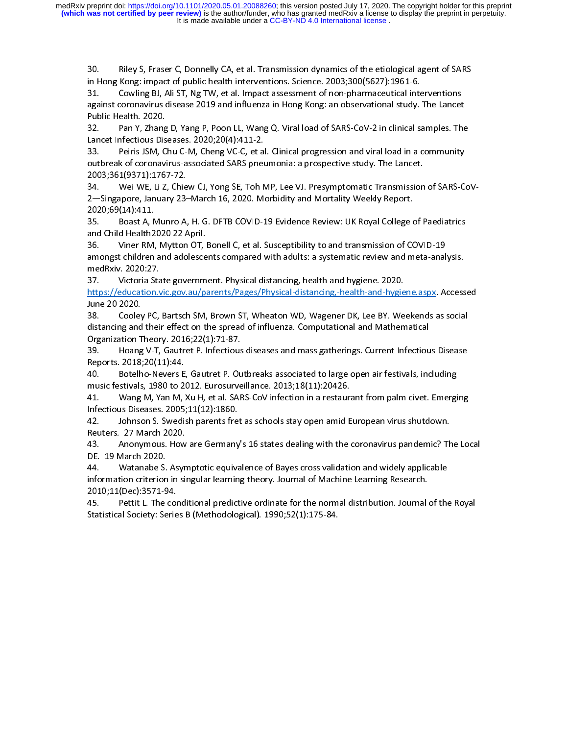30.

in Hong Kong: impact of public health interventions. Science. 2003;300(5627):1961-6.<br>31. Cowling BJ, Ali ST, Ng TW, et al. Impact assessment of non-pharmaceutical interventions<br>against coronavirus disease 2019 and influenz in Hong Kong: Cowling BJ, Ali ST, Ng TW, et al. Impact assessment of non-pharmaceutical interventions of against coronavirus disease 2019 and influenza in Hong Kong: an observational study.<br>
Public Health. 2020.<br>
22. Pan Y

32. Commission Corporation and influenza in Hong Kong: an observational study. The Lancet<br>
2019 Public Health. 2020.<br>
32. Pan Y, Zhang D, Yang P, Poon LL, Wang Q. Viral load of SARS-CoV-2 in clinical samples. The Lancet In againic Health. 2020.<br>
Public Health. 2020.<br>
32. Pan Y, Zhang D, Yang P, Poon LL, Wang Q. Viral load of SARS-CoV-2 in clinical samples. The<br>
Lancet Infectious Diseases. 2020;20(4):411-2.<br>
33. Peiris JSM, Chu C-M, Cheng VC-32. Pan Y, Zhang<br>Lancet Infectious Dis<br>33. Peiris JSM, C<br>outbreak of coronav<br>2003;361(9371):176<br>34. Wei WE, Li Z 22. Pan Y, 2020, 2020, 2020, 2020, 2020, 2020, 2020, 2020, 2020, 2020, 2020, 2020, 2020, 2020, 2020, 2020, 2020, 2020, 2020, 2020, 2020, 2020, 2020, 2020, 2020, 2020, 2020, 2020, 2020, 2020, 2020, 2020, 2020, 2020, 2020, 2 33. Peiris JSM, Chu C-M, Cheng VC-C, et al<br>outbreak of coronavirus-associated SARS pnet<br>2003;361(9371):1767-72.<br>34. Wei WE, Li Z, Chiew CJ, Yong SE, Toh N<br>2—Singapore, January 23–March 16, 2020. Me<br>2020;69(14):411.

outbreak of coronavirus-associated SARS pneumonia: a prospective study. The Lancet.<br>2003;361(9371):1767-72.<br>34. Wei WE, Li Z, Chiew CJ, Yong SE, Toh MP, Lee VJ. Presymptomatic Transmission of SARS-Co<br>2—Singapore, January 2 2003;361(9371):1767-72.<br>34. Wei WE, Li Z, Chiew CJ, Yong SE, Toh MP, Lee VJ. Presymptomatic Transmission of SARS-C<br>2—Singapore, January 23–March 16, 2020. Morbidity and Mortality Weekly Report.<br>2020;69(14):411.<br>35. Boast A 34. Wei WE, Li Z, Chie<br>2—Singapore, January 23-<br>2020;69(14):411.<br>35. Boast A, Munro A,<br>and Child Health2020 22 A<br>36. Viner RM, Mytton

amongst children and adolescents compared with adults: a systematic review and meta-analysis.<br>medRxiv. 2020:27. 26. Viner RM, Mytton OT, Bonell C, et al. Susceptibility to and transmission of COVID-19<br>amongst children and adolescents compared with adults: a systematic review and meta-ana<br>medRxiv. 2020:27. Victoria State government. 35. Boast A, N<br>and Child Health2<br>36. Viner RM,<br>amongst children<br>medRxiv. 2020:27<br>37. Victoria Shttps://education and Child Health2020 22 April.<br>36. Viner RM, Mytton OT, Bonell C, et al. Susceptibility to and transmission of COVID-19<br>amongst children and adolescents compared with adults: a systematic review and meta-analysis.<br> and Children HM, Mytton OT, I<br>amongst children and adolesce<br>medRxiv. 2020:27.<br>37. Victoria State governm<br>https://education.vic.gov.au/pa<br>June 20 2020.

amongst children and adolescents compared with adults: a systematic review and meta-anal<br>medRxiv. 2020:27.<br>37. Victoria State government. Physical distancing, health and hygiene. 2020.<br>https://education.vic.gov.au/parents/ medRxiv. 2020:27.<br>37. Victoria State government. Physical distancing, health and hygiene. 2020.<br>https://education.vic.gov.au/parents/Pages/Physical-distancing,-health-and-hygiene.aspx. Access<br>June 20 2020.<br>38. Cooley PC, B

37. Victoria Sta<br>
https://education.v<br>
June 20 2020.<br>
38. Cooley PC,<br>
distancing and thei<br>
Organization Theor 1112. Internation Antonio, March and Mathematical Alternation (Mathematical Alternation Angle<br>
127. Victoria State Government (Pages/Physical-distancing, health and hygie<br>
38. Cooley PC, Bartsch SM, Brown ST, Wheaton WD, W Hune 20 2020.<br>June 20 2020.<br>38. Cooley PC, Bartsch SM, Brown ST, Wheaton WD, Wagener DK, Lee BY. Weekends as social<br>distancing and their effect on the spread of influenza. Computational and Mathematical<br>Organization Theory Max Cooley<br>
1988. Cooley<br>
distancing and<br>
Organization T<br>
39. Hoang<br>
Reports. 2018;<br>
40. Botelh distancing and their effect on the spread of influenza. Computational and Mathematical<br>Organization Theory. 2016;22(1):71-87.<br>39. Hoang V-T, Gautret P. Infectious diseases and mass gatherings. Current Infectious Disease<br>Re

distancing and theory. 2016;22(1):71-87.<br>
distanciancy of influences on the spatial and Mathematical Andrew Mathematical<br>
distances on the sports. 2018;20(11):44.<br>
40. Botelho-Nevers E, Gautret P. Outbreaks associated to l Organization Theory. 2016;22(1):71-87.<br>
39. Hoang V-T, Gautret P. Infectious diseases and mass gatherings. Current Infectious Disea<br>
Reports. 2018;20(11):44.<br>
40. Botelho-Nevers E, Gautret P. Outbreaks associated to large

Reports. 2018;20(11):44.<br>39. Botelho-Nevers E, Gautret P. Outbreaks associated to large open air festivals, including<br>music festivals, 1980 to 2012. Eurosurveillance. 2013;18(11):20426.<br>31. Wang M, Yan M, Xu H, et al. SARS music festivals, 1980 to 2012. Eurosurveillance. 2013;18(11):20426.<br>41. Wang M, Yan M, Xu H, et al. SARS-CoV infection in a restaurant from palm civet. Emergi<br>Infectious Diseases. 2005;11(12):1860.<br>42. Johnson S. Swedish p 41. Wang M, Yan M, Xu H, et al. SARS-CoV infection in a restaural infectious Diseases. 2005;11(12):1860.<br>1980 - Johnson S. Swedish parents fret as schools stay open amid E<br>Reuters. 27 March 2020.<br>14. Anonymous. How are Ger

Reuters. 27 March 2020.<br>43. Anonymous. How

43. Anonymous. How are Germany's 16 states dealing with the coronavirus pandemic? The Local<br>DE. 19 March 2020.<br>44. Watanabe S. Asymptotic equivalence of Bayes cross validation and widely applicable

ALANDREY Dension S. Swedish parents free<br>
Reuters. 27 March 2020.<br>
43. Anonymous. How are Germany<br>
DE. 19 March 2020.<br>
44. Watanabe S. Asymptotic equiva<br>
information criterion in singular learnin Reuters. 27 March 2020.<br>43. Anonymous. How are Germany's 16 states dealing with the coronavirus pandemic? The<br>DE. 19 March 2020.<br>44. Watanabe S. Asymptotic equivalence of Bayes cross validation and widely applicable<br>inform 43. Anonymous. How<br>DE. 19 March 2020.<br>44. Watanabe S. Asyn<br>information criterion in si<br>2010;11(Dec):3571-94.<br>45. Pettit L. The condi 43. Anonymous. How are Germany's 16 states dealing with the coronavirus pandemic? The Local<br>DE. 19 March 2020.<br>44. Watanabe S. Asymptotic equivalence of Bayes cross validation and widely applicable<br>information criterion in 44. Watanabe S.<br>information criterion<br>2010;11(Dec):3571-9<br>45. Pettit L. The<br>Statistical Society: Se 14. Mathematic entry the S. Asymptotic equivalence of Bayes Cheminate and Wieldy application<br>16. Asymptotic equivalence of Machine Learning Research.<br>16. Association and Wieldy: Series B. (Methodological). 1990;52(1):175-8

2010;11(Dec):3571-94.<br>45. Pettit L. The conditional predictive ordinate for the normal distribution. Journal of the Royal 45. Pettit L. The cor<br>Statistical Society: Serie<br>. 45. Petric L. The conditional prediction ordinate for the normal distribution ordinate for the Royal<br>Statistical Society: Series B (Methodological). 1990;52(1):175-84.  $S_{\text{S}}$  (Society: Series B (Methodological). 1990; $S_{\text{S}}$  (1):175-84.175.175.175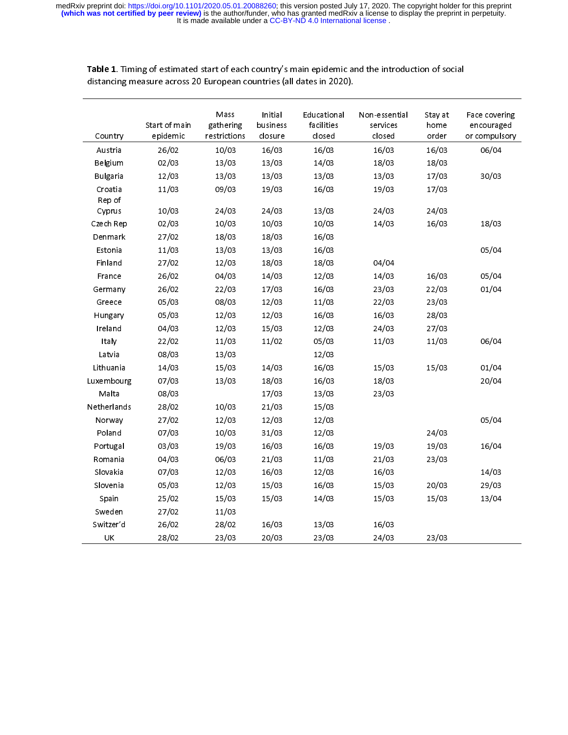|                   | distancing measure across 20 European countries (all dates in 2020). |                                   |                                |                                     | ic 1. mining or estimated start or each country 3 main epidenne and the introduction or social |                          |                                              |
|-------------------|----------------------------------------------------------------------|-----------------------------------|--------------------------------|-------------------------------------|------------------------------------------------------------------------------------------------|--------------------------|----------------------------------------------|
| Country           | Start of main<br>epidemic                                            | Mass<br>gathering<br>restrictions | Initial<br>business<br>closure | Educational<br>facilities<br>closed | Non-essential<br>services<br>closed                                                            | Stay at<br>home<br>order | Face covering<br>encouraged<br>or compulsory |
| Austria           | 26/02                                                                | 10/03                             | 16/03                          | 16/03                               | 16/03                                                                                          | 16/03                    | 06/04                                        |
| Belgium           | 02/03                                                                | 13/03                             | 13/03                          | 14/03                               | 18/03                                                                                          | 18/03                    |                                              |
| <b>Bulgaria</b>   | 12/03                                                                | 13/03                             | 13/03                          | 13/03                               | 13/03                                                                                          | 17/03                    | 30/03                                        |
| Croatia<br>Rep of | 11/03                                                                | 09/03                             | 19/03                          | 16/03                               | 19/03                                                                                          | 17/03                    |                                              |
| Cyprus            | 10/03                                                                | 24/03                             | 24/03                          | 13/03                               | 24/03                                                                                          | 24/03                    |                                              |
| Czech Rep         | 02/03                                                                | 10/03                             | 10/03                          | 10/03                               | 14/03                                                                                          | 16/03                    | 18/03                                        |
| Denmark           | 27/02                                                                | 18/03                             | 18/03                          | 16/03                               |                                                                                                |                          |                                              |
| Estonia           | 11/03                                                                | 13/03                             | 13/03                          | 16/03                               |                                                                                                |                          | 05/04                                        |
| Finland           | 27/02                                                                | 12/03                             | 18/03                          | 18/03                               | 04/04                                                                                          |                          |                                              |
| France            | 26/02                                                                | 04/03                             | 14/03                          | 12/03                               | 14/03                                                                                          | 16/03                    | 05/04                                        |
| Germany           | 26/02                                                                | 22/03                             | 17/03                          | 16/03                               | 23/03                                                                                          | 22/03                    | 01/04                                        |
| Greece            | 05/03                                                                | 08/03                             | 12/03                          | 11/03                               | 22/03                                                                                          | 23/03                    |                                              |
| Hungary           | 05/03                                                                | 12/03                             | 12/03                          | 16/03                               | 16/03                                                                                          | 28/03                    |                                              |
| Ireland           | 04/03                                                                | 12/03                             | 15/03                          | 12/03                               | 24/03                                                                                          | 27/03                    |                                              |
| Italy             | 22/02                                                                | 11/03                             | 11/02                          | 05/03                               | 11/03                                                                                          | 11/03                    | 06/04                                        |
| Latvia            | 08/03                                                                | 13/03                             |                                | 12/03                               |                                                                                                |                          |                                              |
| Lithuania         | 14/03                                                                | 15/03                             | 14/03                          | 16/03                               | 15/03                                                                                          | 15/03                    | 01/04                                        |
| Luxembourg        | 07/03                                                                | 13/03                             | 18/03                          | 16/03                               | 18/03                                                                                          |                          | 20/04                                        |
| Malta             | 08/03                                                                |                                   | 17/03                          | 13/03                               | 23/03                                                                                          |                          |                                              |
| Netherlands       | 28/02                                                                | 10/03                             | 21/03                          | 15/03                               |                                                                                                |                          |                                              |
| Norway            | 27/02                                                                | 12/03                             | 12/03                          | 12/03                               |                                                                                                |                          | 05/04                                        |
| Poland            | 07/03                                                                | 10/03                             | 31/03                          | 12/03                               |                                                                                                | 24/03                    |                                              |
| Portugal          | 03/03                                                                | 19/03                             | 16/03                          | 16/03                               | 19/03                                                                                          | 19/03                    | 16/04                                        |
| Romania           | 04/03                                                                | 06/03                             | 21/03                          | 11/03                               | 21/03                                                                                          | 23/03                    |                                              |
| Slovakia          | 07/03                                                                | 12/03                             | 16/03                          | 12/03                               | 16/03                                                                                          |                          | 14/03                                        |
| Slovenia          | 05/03                                                                | 12/03                             | 15/03                          | 16/03                               | 15/03                                                                                          | 20/03                    | 29/03                                        |
| Spain             | 25/02                                                                | 15/03                             | 15/03                          | 14/03                               | 15/03                                                                                          | 15/03                    | 13/04                                        |
| Sweden            | 27/02                                                                | 11/03                             |                                |                                     |                                                                                                |                          |                                              |
| Switzer'd         | 26/02                                                                | 28/02                             | 16/03                          | 13/03                               | 16/03                                                                                          |                          |                                              |
| UK                | 28/02                                                                | 23/03                             | 20/03                          | 23/03                               | 24/03                                                                                          | 23/03                    |                                              |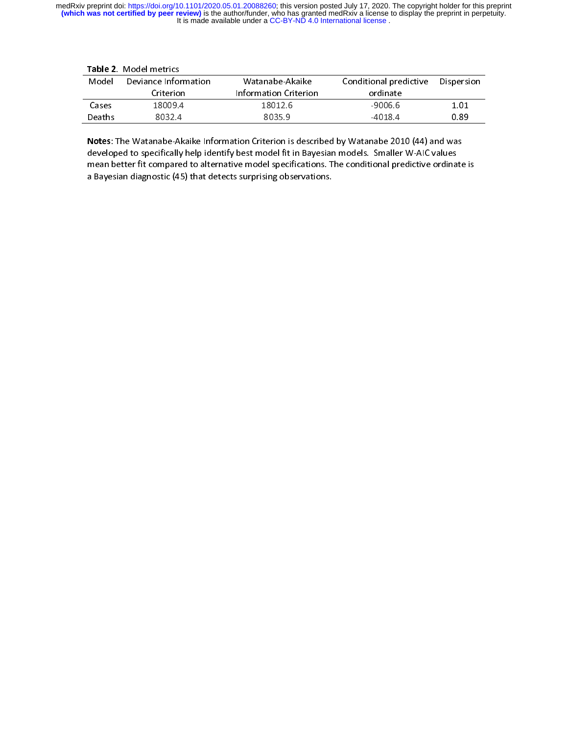| Model  | Deviance Information | Watanabe-Akaike                                                                                                                                                                                | Conditional predictive | Dispersion |
|--------|----------------------|------------------------------------------------------------------------------------------------------------------------------------------------------------------------------------------------|------------------------|------------|
|        | Criterion            | Information Criterion                                                                                                                                                                          | ordinate               |            |
| Cases  | 18009.4              | 18012.6                                                                                                                                                                                        | $-9006.6$              | 1.01       |
| Deaths | 8032.4               | 8035.9                                                                                                                                                                                         | $-4018.4$              | 0.89       |
|        |                      | Notes: The Watanabe-Akaike Information Criterion is described by Watanabe 2010 (44) and was<br>developed to specifically help identify best model fit in Bayesian models. Smaller W-AIC values |                        |            |

Notes: The Watanabe-Akaike Information Criterion is described by Watanabe 2010 (44) and was 18009.4<br>8032.4<br>anabe-Aka<br>ecifically b<br>compared 18012.6<br>18012.6<br>8035.9<br>tion Criterion is describest model fit in Baye ordinate 9) Deaths 8032.4 8035.9 -4018.4 0.89<br>
Notes: The Watanabe-Akaike Information Criterion is described by Watanabe 2010 (44) and was<br>
developed to specifically help identify best model fit in Bayesian models. Smaller W-AIC va **Notes:** The Watanabe-Akaike Information Criterion is described by Watanabe 2010 (44) and was developed to specifically help identify best model fit in Bayesian models. Smaller W-AIC values mean better fit compared to alte **!**<br>c r こ Notes: The Watanabe-Akaike Information Criterion is described by Watanabe 2010 (44) and was<br>developed to specifically help identify best model fit in Bayesian models. Smaller W-AIC values<br>mean better fit compared to altern mean better fit compared to alternative model specifications. The conditional predictive ordinate is a Bayesian diagnostic (45) that detects surprising observations. a Bayesian diagnostic (45) that detects surprising observations.<br>
The conditional predictional predictional predictions of the conditional predictional predictional prediction<br>  $\frac{d}{dt} \int \frac{d\theta}{dt} dt$  and the conditional pre a Bayesian diagnostic (45) that detects surprising observations.<br>The diagnostic surprising observations in the surprising observations.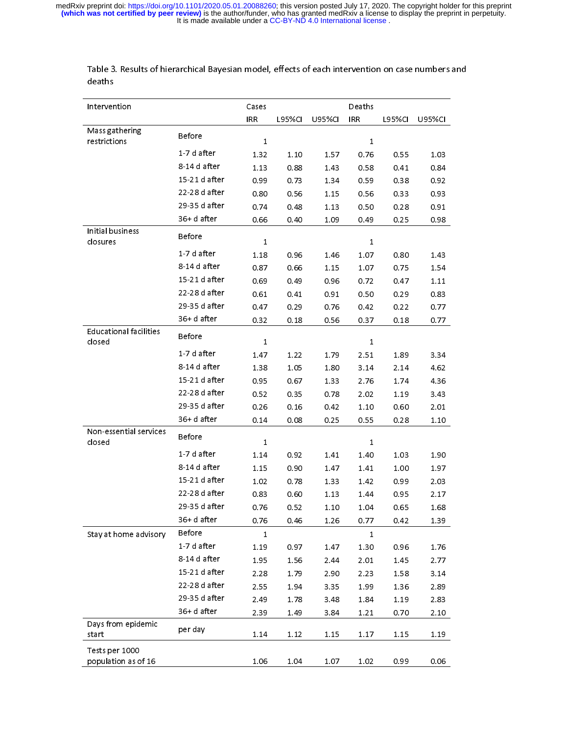| Intervention                            |               | Cases        |               |               | Deaths     |               |        |
|-----------------------------------------|---------------|--------------|---------------|---------------|------------|---------------|--------|
|                                         |               | <b>IRR</b>   | <b>L95%CI</b> | <b>U95%CI</b> | <b>IRR</b> | <b>L95%CI</b> | U95%CI |
| Mass gathering<br>restrictions          | Before        | $\mathbf{1}$ |               |               | 1          |               |        |
|                                         | 1-7 d after   | 1.32         | 1.10          | 1.57          | 0.76       | 0.55          | 1.03   |
|                                         | 8-14 d after  | 1.13         | 0.88          | 1.43          | 0.58       | 0.41          | 0.84   |
|                                         | 15-21 d after | 0.99         | 0.73          | 1.34          | 0.59       | 0.38          | 0.92   |
|                                         | 22-28 d after | 0.80         | 0.56          | 1.15          | 0.56       | 0.33          | 0.93   |
|                                         | 29-35 d after | 0.74         | 0.48          | 1.13          | 0.50       | 0.28          | 0.91   |
|                                         | 36+d after    | 0.66         | 0.40          | 1.09          | 0.49       | 0.25          | 0.98   |
| Initial business<br>closures            | <b>Before</b> | 1            |               |               | 1          |               |        |
|                                         | 1-7 d after   | 1.18         | 0.96          | 1.46          | 1.07       | 0.80          | 1.43   |
|                                         | 8-14 d after  | 0.87         | 0.66          | 1.15          | 1.07       | 0.75          | 1.54   |
|                                         | 15-21 d after | 0.69         | 0.49          | 0.96          | 0.72       | 0.47          | 1.11   |
|                                         | 22-28 d after | 0.61         | 0.41          | 0.91          | 0.50       | 0.29          | 0.83   |
|                                         | 29-35 d after | 0.47         | 0.29          | 0.76          | 0.42       | 0.22          | 0.77   |
|                                         | 36+d after    | 0.32         | 0.18          | 0.56          | 0.37       | 0.18          | 0.77   |
| <b>Educational facilities</b><br>closed | Before        | 1            |               |               | 1          |               |        |
|                                         | 1-7 d after   | 1.47         | 1.22          | 1.79          | 2.51       | 1.89          | 3.34   |
|                                         | 8-14 d after  | 1.38         | 1.05          | 1.80          | 3.14       | 2.14          | 4.62   |
|                                         | 15-21 d after | 0.95         | 0.67          | 1.33          | 2.76       | 1.74          | 4.36   |
|                                         | 22-28 d after | 0.52         | 0.35          | 0.78          | 2.02       | 1.19          | 3.43   |
|                                         | 29-35 d after | 0.26         | 0.16          | 0.42          | 1.10       | 0.60          | 2.01   |
|                                         | 36+d after    | 0.14         | 0.08          | 0.25          | 0.55       | 0.28          | 1.10   |
| Non-essential services<br>closed        | <b>Before</b> | 1            |               |               | 1          |               |        |
|                                         | 1-7 d after   | 1.14         | 0.92          | 1.41          | 1.40       | 1.03          | 1.90   |
|                                         | 8-14 d after  | 1.15         | 0.90          | 1.47          | 1.41       | 1.00          | 1.97   |
|                                         | 15-21 d after | 1.02         | 0.78          | 1.33          | 1.42       | 0.99          | 2.03   |
|                                         | 22-28 d after | 0.83         | 0.60          | 1.13          | 1.44       | 0.95          | 2.17   |
|                                         | 29-35 d after | 0.76         | 0.52          | 1.10          | 1.04       | 0.65          | 1.68   |
|                                         | 36+d after    | 0.76         | 0.46          | 1.26          | 0.77       | 0.42          | 1.39   |
| Stay at home advisory                   | Before        | $\mathbf{1}$ |               |               | 1          |               |        |
|                                         | 1-7 d after   | 1.19         | 0.97          | 1.47          | 1.30       | 0.96          | 1.76   |
|                                         | 8-14 d after  | 1.95         | 1.56          | 2.44          | 2.01       | 1.45          | 2.77   |
|                                         | 15-21 d after | 2.28         | 1.79          | 2.90          | 2.23       | 1.58          | 3.14   |
|                                         | 22-28 d after | 2.55         | 1.94          | 3.35          | 1.99       | 1.36          | 2.89   |
|                                         | 29-35 d after | 2.49         | 1.78          | 3.48          | 1.84       | 1.19          | 2.83   |
|                                         | 36+d after    | 2.39         | 1.49          | 3.84          | 1.21       | 0.70          | 2.10   |
| Days from epidemic<br>start             | per day       | 1.14         | 1.12          | 1.15          | 1.17       | 1.15          | 1.19   |
|                                         |               |              |               |               |            |               |        |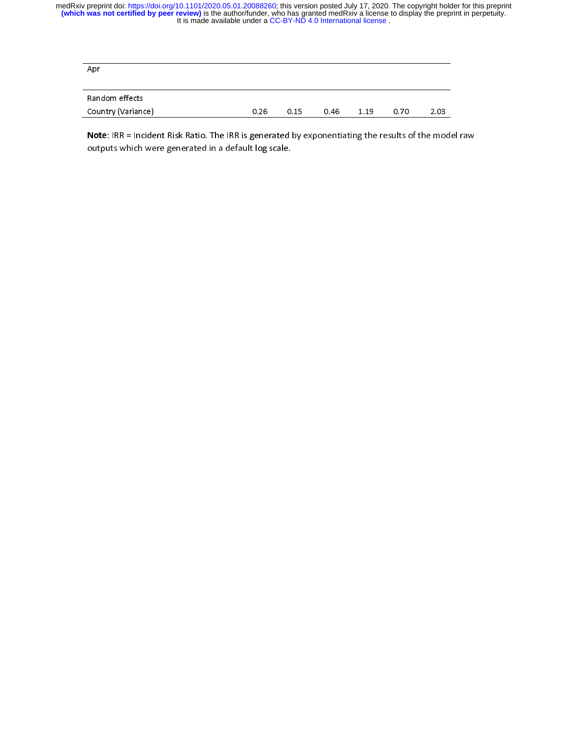| Apr                |      |      |      |      |      |      |
|--------------------|------|------|------|------|------|------|
| Random effects     |      |      |      |      |      |      |
| Country (Variance) | 0.26 | 0.15 | 0.46 | 1.19 | 0.70 | 2.03 |

 $\frac{1}{2}$ Note: IRR = Incident Risk Ratio. The IRR is generated by exponentiating the results of the model raw<br>outputs which were generated in a default log scale. outputs which were generated in a default log scale.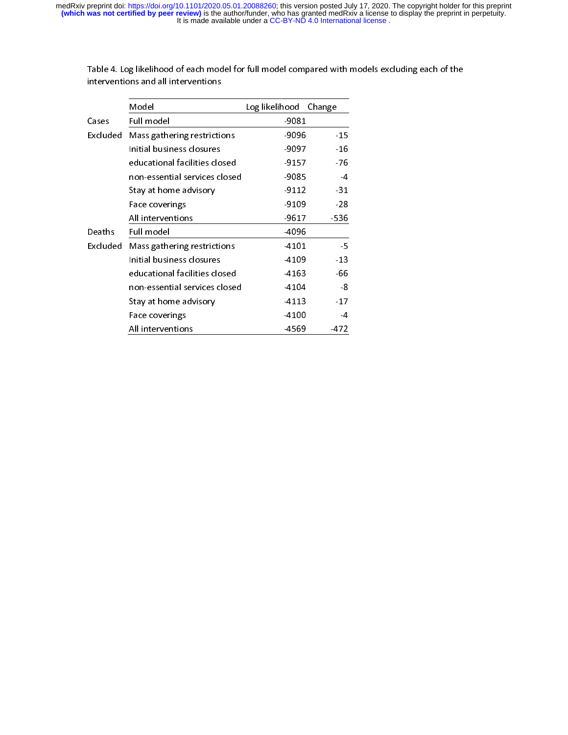|          | Model                         | Log likelihood | Change         |
|----------|-------------------------------|----------------|----------------|
| Cases    | Full model                    | $-9081$        |                |
| Excluded | Mass gathering restrictions   | $-9096$        | $-15$          |
|          | Initial business closures     | -9097          | $-16$          |
|          | educational facilities closed | $-9157$        | $-76$          |
|          | non-essential services closed | -9085          | $\overline{4}$ |
|          | Stay at home advisory         | $-9112$        | $-31$          |
|          | Face coverings                | $-9109$        | $-28$          |
|          | All interventions             | $-9617$        | -536           |
| Deaths   | Full model                    | $-4096$        |                |
| Excluded | Mass gathering restrictions   | 4101           | $-5$           |
|          | Initial business closures     | -4109          | $-13$          |
|          | educational facilities closed | -4163          | -66            |
|          | non-essential services closed | -4104          | -8             |
|          | Stay at home advisory         | -4113          | $-17$          |
|          | Face coverings                | -4100          | $\overline{4}$ |
|          | All interventions             | -4569          | $-472$         |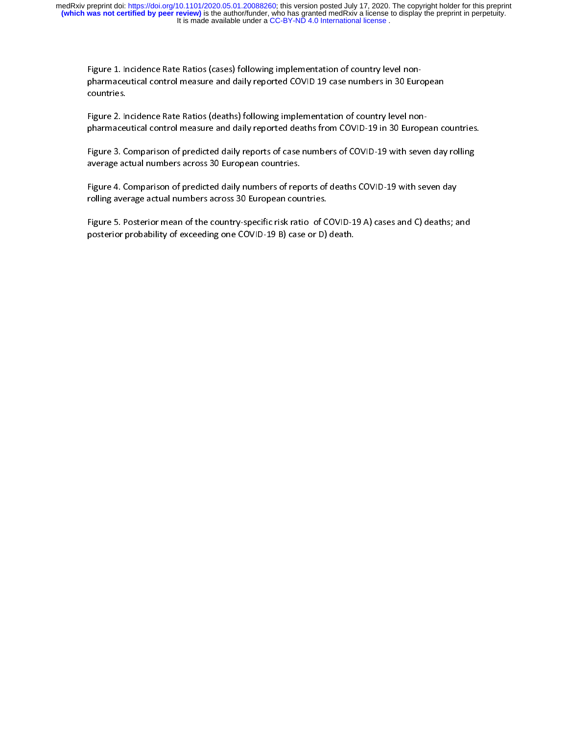Figure 1. Incidence Rate Ratios (cases) following implementation of country level non-

pharmaceutical control measure and daily reported COVID 19 case numbers in 30 European<br>countries.<br>Figure 2. Incidence Rate Ratios (deaths) following implementation of country level non-<br>pharmaceutical control measure and d Figure 2. Incidence Rate Ratios (deaths) following implementation of country level non-

Figure 3. Comparison of predicted daily reports of case numbers of COVID-19 with seven day rolling |<br>|}<br>|} pharmaceutical control measure and daily reports of case numbers of COVID-19 with seven day rolling<br>average actual numbers across 30 European countries.<br>Figure 4. Comparison of predicted daily numbers of reports of deaths |<br>| a<br>|

rolling average actual numbers across 30 European countries. average actual numbers across 30 European countries.<br>Figure 4. Comparison of predicted daily numbers of reports of deaths COVID-19 with seven day<br>rolling average actual numbers across 30 European countries.<br>Figure 5. Poste

Figure 4. Comparison of predicted daily numbers of rep<br>rolling average actual numbers across 30 European cou<br>Figure 5. Posterior mean of the country-specific risk rati<br>posterior probability of exceeding one COVID-19 B) cas |<br>|<br>|<br>| Figure 5. Posterior mean of the country-specific risk ratio of COVID-19 A) cases and C) deaths; and posterior probability of exceeding one COVID-19 B) case or D) death. |<br>|} Figure 5. Posterior mean of the country-specific risk ratio of COVID-15 A) cases and C) deaths, and posterior probability of exceeding one COVID-19 B) case or D) death. posterior probability of exceeding one COVID-19 B) case or D) death.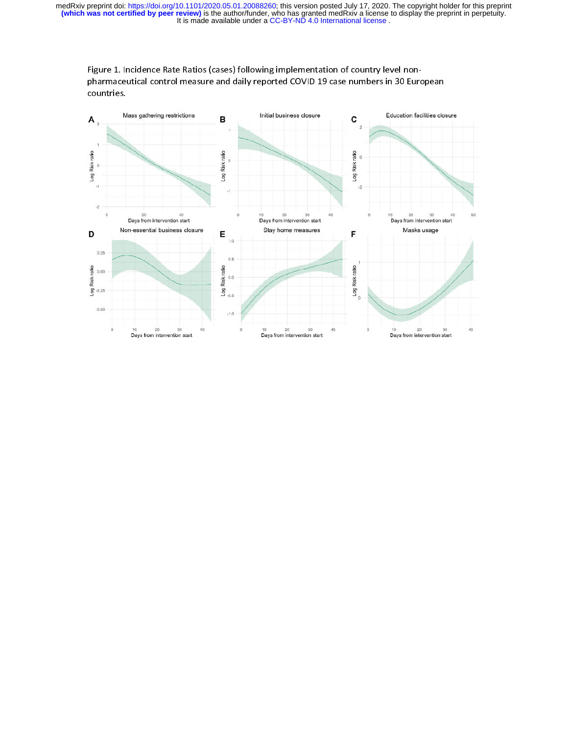

Figure 1. Incidence Rate Ratios (cases) following implementation of country level nonpharmaceutical control measure and daily reported COVID 19 case numbers in 30 European countries.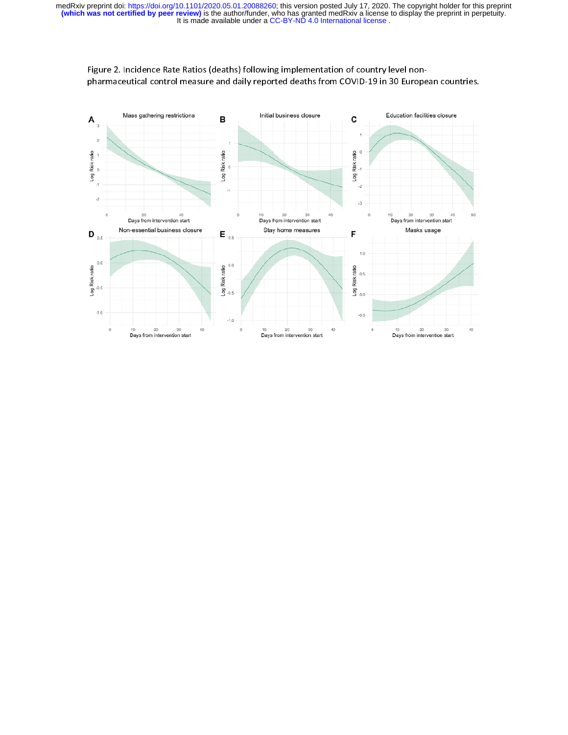

Figure 2. Incidence Rate Ratios (deaths) following implementation of country level nonpharmaceutical control measure and daily reported deaths from COVID-19 in 30 European countries.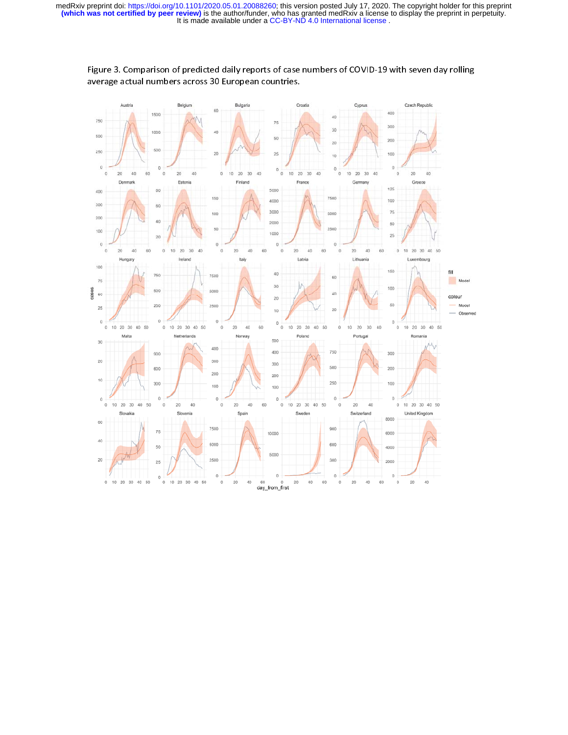

Figure 3. Comparison of predicted daily reports of case numbers of COVID-19 with seven day rolling average actual numbers across 30 European countries.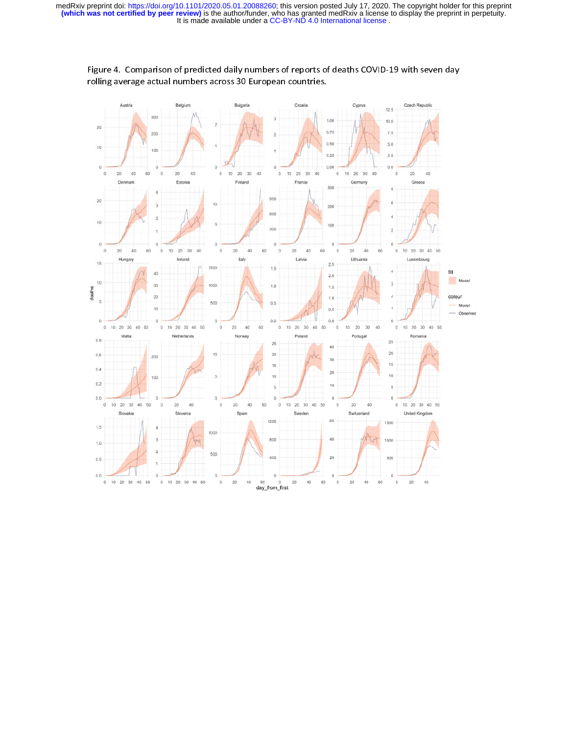

Figure 4. Comparison of predicted daily numbers of reports of deaths COVID-19 with seven day rolling average actual numbers across 30 European countries.